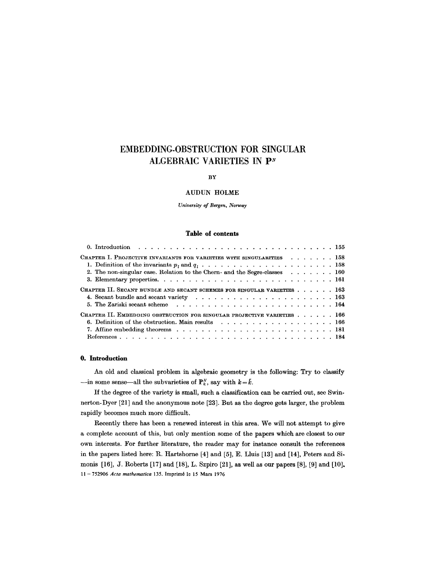# **EMBEDDING-OBSTRUCTION FOR SINGULAR ALGEBRAIC VARIETIES IN PN**

BY

#### AUDUN HOLME

*University of Bergen, Norway* 

### **Table of contents**

| CHAPTER I. PROJECTIVE INVARIANTS FOR VARIETIES WITH SINGULARITIES 158                                                |  |  |  |  |
|----------------------------------------------------------------------------------------------------------------------|--|--|--|--|
|                                                                                                                      |  |  |  |  |
| 2. The non-singular case. Relation to the Chern- and the Segre-classes 160                                           |  |  |  |  |
|                                                                                                                      |  |  |  |  |
| CHAPTER II. SECANT BUNDLE AND SECANT SCHEMES FOR SINGULAR VARIETIES 163                                              |  |  |  |  |
| 4. Secant bundle and secant variety $\ldots \ldots \ldots \ldots \ldots \ldots \ldots \ldots \ldots 163$             |  |  |  |  |
|                                                                                                                      |  |  |  |  |
| CHAPTER II. EMBEDDING OBSTRUCTION FOR SINGULAR PROJECTIVE VARIETIES 166                                              |  |  |  |  |
| 6. Definition of the obstruction. Main results $\ldots$ , $\ldots$ , $\ldots$ , $\ldots$ , $\ldots$ , $\ldots$ , 166 |  |  |  |  |
|                                                                                                                      |  |  |  |  |
|                                                                                                                      |  |  |  |  |

#### O. **Introduction**

An old and classical problem in algebraic geometry is the following: Try to classify --in some sense--all the subvarieties of  $P_k^N$ , say with  $k = k$ .

If the degree of the variety is small, such a classification can be carried out, sec Swinnerton-Dyer [21] and the anonymous note [23]. But as the degree gets larger, the problem rapidly becomes much more difficult.

Recently there has been a renewed interest in this area. We will not attempt to give a complete account of this, but only mention some of the papers which are closest to our own interests. For further literature, the reader may for instance consult the references in the papers listed here: R. Hartshorne [4] and [5], E. Lluis [13] and [14], Peters and Si. monis  $[16]$ , J. Roberts  $[17]$  and  $[18]$ , L. Szpiro  $[21]$ , as well as our papers  $[8]$ ,  $[9]$  and  $[10]$ , **11 -752906** *Acta mathematica* 135. Irnprim6 le 15 Mars 1976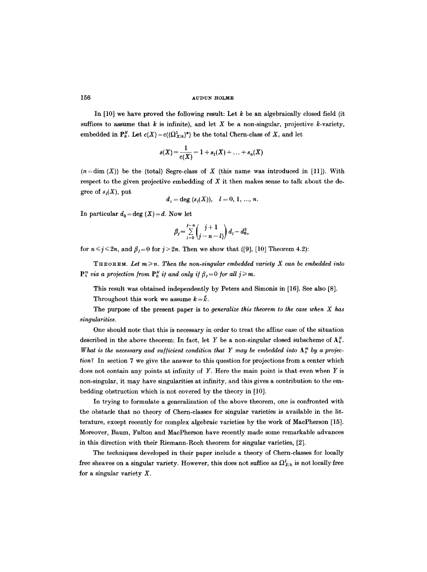#### $156$   $\Delta$  UDUN HOLME

In  $[10]$  we have proved the following result: Let k be an algebraically closed field (it suffices to assume that k is infinite), and let X be a non-singular, projective k-variety, embedded in  $\mathbf{P}_{k}^{N}$ . Let  $c(X) = c((\Omega_{X/k})^{*})$  be the total Chern-class of X, and let

$$
s(X) = \frac{1}{c(X)} = 1 + s_1(X) + \ldots + s_n(X)
$$

 $(n=\dim(X))$  be the (total) Segre-class of X (this name was introduced in [11]). With respect to the given projective embedding of  $X$  it then makes sense to talk about the degree of  $s_i(X)$ , put

$$
d_i = \deg (s_i(X)), \quad l = 0, 1, ..., n.
$$

In particular  $d_0 = \text{deg}(X) = d$ . Now let

$$
\beta_j = \sum_{l=0}^{j-n} {j+1 \choose j-n-l} d_l - d_0^2,
$$

for  $n \leq j \leq 2n$ , and  $\beta_j=0$  for  $j>2n$ . Then we show that ([9], [10] Theorem 4.2):

**THEOREM.** Let  $m \ge n$ . Then the non-singular embedded variety X can be embedded into  $P_{k}^{m}$  *via a projection from*  $P_{k}^{N}$  *if and only if*  $\beta_{i}=0$  *for all j*  $\geq m$ *.* 

This result was obtained independently by Peters and Simonis in [16]. See also [8].

Throughout this work we assume  $k = \bar{k}$ .

The purpose of the present paper is to *generalize this theorem to the case when X has singularities.* 

One should note that this is necessary in order to treat the affine case of the situation described in the above theorem: In fact, let Y be a non-singular closed subscheme of  $A_k^N$ . What is the necessary and sufficient condition that Y may be embedded into  $A_k^m$  by a projec*tion?* In section 7 we give the answer to this question for projections from a center which does not contain any points at infinity of  $Y$ . Here the main point is that even when  $Y$  is non-singular, it may have singularities at infinity, and this gives a contribution to the embedding obstruction which is not covered by the theory in [10].

In trying to formulate a generalization of the above theorem, one is confronted with the obstacle that no theory of Chern-classes for singular varieties is available in the litterature, except recently for complex algebraic varieties by the work of MacPherson [15]. Moreover, Baum, Fulton and MacPherson have recently made some remarkable advances in this direction with their Riemann-Roch theorem for singular varieties, [2].

The techniques developed in their paper include a theory of Chern-classes for locally free sheaves on a singular variety. However, this does not suffice as  $\Omega^1_{X/k}$  is not locally free for a singular variety  $X$ .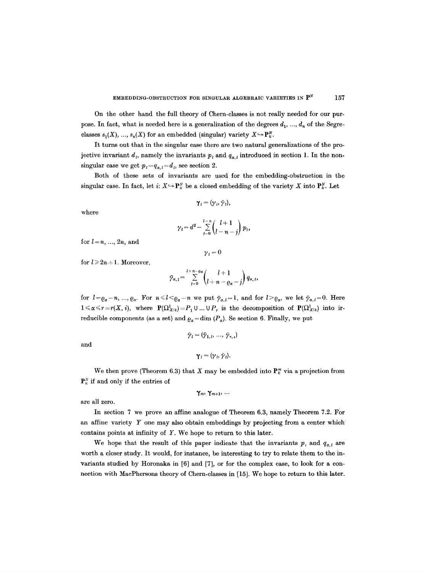On the other hand the full theory of Chern-classes is not really needed for our purpose. In fact, what is needed here is a generalization of the degrees  $d_1, ..., d_n$  of the Segre. classes  $s_1(X)$ , ...,  $s_n(X)$  for an embedded (singular) variety  $X \hookrightarrow \mathbf{P}_k^N$ .

It turns out that in the singular ease there are two natural generalizations of the projective invariant  $d_i$ , namely the invariants  $p_i$  and  $q_{a,i}$  introduced in section 1. In the nonsingular case we get  $p_i = q_{\alpha,i} = d_i$ , see section 2.

Both of these sets of invariants are used for the embedding-obstruction in the singular case. In fact, let i:  $X \hookrightarrow \mathbf{P}_k^N$  be a closed embedding of the variety X into  $\mathbf{P}_k^N$ . Let

$$
\gamma_i=(\gamma_i,\bar{\gamma}_i),
$$

where

$$
\gamma_l=d^2-\sum_{j=0}^{l-n}\binom{l+1}{l-n-j}p_j,
$$

for  $l = n, ..., 2n$ , and

for  $l \geq 2n + 1$ . Moreover,

 $\gamma_i = 0$ 

$$
\bar{\gamma}_{\alpha,\,l}=\sum_{j=0}^{l+n-\varrho\alpha}\!\!\left(\!\frac{l+1}{l+n-\varrho_\alpha-j}\!\right)q_{\alpha,\,j},
$$

for  $l = \varrho_{\alpha} - n, ..., \varrho_{\alpha}$ . For  $n \leq l \leq \varrho_{\alpha} - n$  we put  $\bar{\gamma}_{\alpha, l} = 1$ , and for  $l > \varrho_{\alpha}$ , we let  $\bar{\gamma}_{\alpha, l} = 0$ . Here  $1 \le \alpha \le r = r(X, i)$ , where  $P(\Omega^1_{X/k}) = P_1 \cup ... \cup P_r$  is the decomposition of  $P(\Omega^1_{X/k})$  into irreducible components (as a set) and  $\varrho_{\alpha} = \dim (P_{\alpha})$ . Se section 6. Finally, we put

$$
\tilde{\gamma}_l = (\tilde{\gamma}_{1,l}, \dots, \tilde{\gamma}_{r,l})
$$

$$
\gamma_l = (\gamma_l, \tilde{\gamma}_l).
$$

We then prove (Theorem 6.3) that X may be embedded into  $\mathbf{P}_k^m$  via a projection from  ${\bf P}_{\kappa}^{N}$  if and only if the entries of

$$
\gamma_m, \gamma_{m+1}, \ldots
$$

are all zero.

In section 7 we prove an affine analogue of Theorem 6.3, namely Theorem 7.2. For an affine variety Y one may also obtain embeddings by projecting from a center which contains points at infinity of Y. We hope to return to this later.

We hope that the result of this paper indicate that the invariants  $p_i$  and  $q_{\alpha,i}$  are worth a closer study. It would, for instance, be interesting to try to relate them to the invariants studied by Horonaka in [6] and [7], or for the complex ease, to look for a connection with MacPhersons theory of Chern-classes in [15]. We hope to return to this later.

and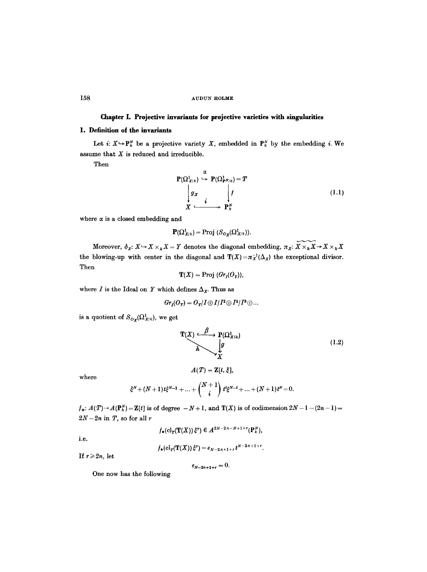# **Chapter I. Projective invariants for projective varieties with singularities**

# **1. Definition of the** invariants

Let i:  $X \rightarrow P_k^N$  be a projective variety X, embedded in  $P_k^N$  by the embedding i. We assume that  $X$  is reduced and irreducible.

Then

$$
\mathbf{P}(\Omega^1_{X/k}) \stackrel{\alpha}{\hookrightarrow} \mathbf{P}(\Omega^1_{\mathbf{P}^N/k}) = T
$$
\n
$$
\downarrow g_X \downarrow \qquad \qquad \downarrow f
$$
\n
$$
X \stackrel{i}{\longleftarrow} \mathbf{P}^N_k
$$
\n(1.1)

where  $\alpha$  is a closed embedding and

$$
\mathbf{P}(\Omega^1_{X/k}) = \text{Proj } (S_{\mathbf{O}_X}(\Omega^1_{X/k})).
$$

Moreover,  $\delta_X: X \hookrightarrow X \times_k X = Y$  denotes the diagonal embedding,  $\pi_X: \widetilde{X \times_k X} \to X \times_k X$ the blowing-up with center in the diagonal and  $T(X) = \pi_X^{-1}(\Delta_X)$  the exceptional divisor. Then

$$
\mathbf{T}(X) = \text{Proj } (Gr_I(O_Y)),
$$

where I is the Ideal on Y which defines  $\Delta_{\mathbf{x}}$ . Thus as

$$
Gr_I(O_Y) = O_Y/I \oplus I/I^2 \oplus I^2/I^3 \oplus \dots
$$

is a quotient of  $S_{O_X}(\Omega^1_{X/k})$ , we get

$$
\mathbf{T}(X) \xrightarrow{\beta} \mathbf{P}(\Omega^1_{X/k})
$$
\n
$$
\downarrow g
$$
\n(1.2)

where

$$
\xi^N + (N+1) t \xi^{N-1} + \ldots + {N+1 \choose i} t^i \xi^{N-i} + \ldots + (N+1) t^N = 0.
$$

 $A(T) = \mathbf{Z}[t, \xi],$ 

 $f_*: A(T) \rightarrow A(\mathbf{P}_k^N) = \mathbf{Z}[t]$  is of degree  $-N+1$ , and  $\mathbf{T}(X)$  is of codimension  $2N-1-(2n-1) =$  $2N - 2n$  in T, so for all r

$$
f_*(\mathrm{cl}_{T}(\mathbf{T}(X))\xi^r) \in A^{2N-2n-N+1+r}(\mathbf{P}_k^N),
$$

i.e.

$$
f_*\left(\mathrm{cl}_T(\mathbf{T}(X))\xi^r\right)=e_{N-2n+1+r}t^{N-2n+1+r}.
$$

If  $r \geq 2n$ , let

$$
e_{N-2n+1+r}=0.
$$

 $\overline{a}$ 

One now has the following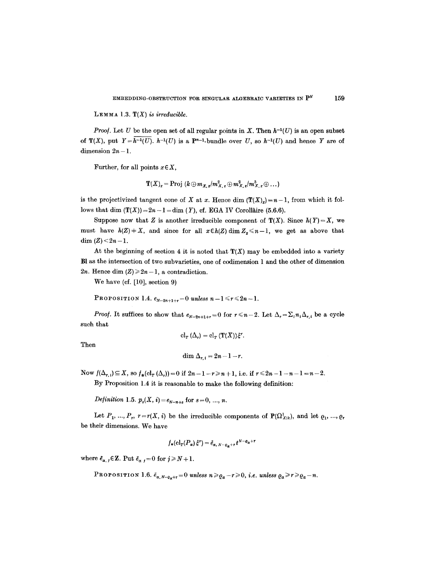LEMMA 1.3.  $T(X)$  *is irreducible.* 

*Proof.* Let U be the open set of all regular points in X. Then  $h^{-1}(U)$  is an open subset of  $T(X)$ , put  $Y=\overline{h^{-1}(U)}$ .  $h^{-1}(U)$  is a P<sup>n-1</sup>-bundle over U, so  $h^{-1}(U)$  and hence Y are of dimension  $2n - 1$ .

Further, for all points  $x \in X$ ,

$$
\mathbf{T}(X)_x = \text{Proj }(k \oplus m_{X,x}/m_{X,x}^2 \oplus m_{X,x}^2/m_{X,x}^3 \oplus \dots)
$$

is the projectivized tangent cone of X at x. Hence dim  $(\mathbf{T}(X)) = n-1$ , from which it follows that dim  $(T(X))=2n-1 = \dim (Y)$ , cf. EGA IV Corollaire (5.6.6).

Suppose now that Z is another irreducible component of  $T(X)$ . Since  $h(Y)=X$ , we must have  $h(Z) + X$ , and since for all  $x \in h(Z)$  dim  $Z_x \le n-1$ , we get as above that dim  $(Z) < 2n - 1$ .

At the beginning of section 4 it is noted that  $T(X)$  may be embedded into a variety Bl as the intersection of two subvarieties, one of codimension 1 and the other of dimension 2n. Hence dim  $(Z) \ge 2n - 1$ , a contradiction.

We have (cf. [10], section 9)

**PROPOSITION 1.4.**  $e_{N-2n+1+r}=0$  *unless*  $n-1 \le r \le 2n-1$ .

*Proof.* It suffices to show that  $e_{N-2n+1+r} = 0$  for  $r \leq n-2$ . Let  $\Delta_r = \sum_i n_i \Delta_{r,i}$  be a cycle such that

$$
\mathrm{cl}_T \left( \Delta_r \right) = \mathrm{cl}_T \left( \mathrm{T}(X) \right) \xi^r.
$$

Then

$$
\dim \Delta_{r,i}=2n-1-r.
$$

Now  $f(\Delta_{r,i}) \subseteq X$ , so  $f_*(\mathrm{cl}_T(\Delta_r))=0$  if  $2n-1-r \geq n+1$ , i.e. if  $r \leq 2n-1-n-1 = n-2$ .

By Proposition 1.4 it is reasonable to make the following definition:

*Definition 1.5.*  $p_s(X, i) = e_{N-n+s}$  for  $s = 0, ..., n$ .

Let  $P_1, ..., P_r$ ,  $r = r(X, i)$  be the irreducible components of  $\mathbb{P}(\Omega^1_{X/k})$ , and let  $\varrho_1, ..., \varrho_r$ be their dimensions. We have

$$
f_*(\operatorname{cl}_{T}(P_\alpha)\xi^r)=\tilde{e}_{\alpha, N-e_\alpha+r}\,t^{N-e_\alpha+r}
$$

where  $\bar{e}_{\alpha,j} \in \mathbb{Z}$ . Put  $\bar{e}_{\alpha,j} = 0$  for  $j \geq N+1$ .

PROPOSITION 1.6.  $\bar{e}_{\alpha, N-q_{\alpha}+r} = 0$  *unless*  $n \geq \rho_{\alpha}-r \geq 0$ *, i.e. unless*  $\rho_{\alpha} \geq r \geq \rho_{\alpha}-n$ .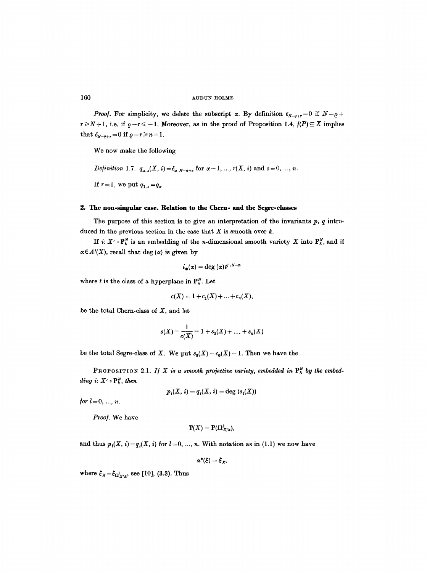*Proof.* For simplicity, we delete the subscript  $\alpha$ . By definition  $\bar{e}_{N-q+r} = 0$  if  $N-q+$  $r \ge N+1$ , i.e. if  $\rho-r \le -1$ . Moreover, as in the proof of Proposition 1.4,  $f(P) \subseteq X$  implies that  $\bar{e}_{N-q+r} = 0$  if  $\rho - r \geq n+1$ .

We now make the following

*Definition 1.7.*  $q_{\alpha,s}(X, i) = \bar{e}_{\alpha,N-n+s}$  for  $\alpha = 1, ..., r(X, i)$  and  $s = 0, ..., n$ .

If  $r = 1$ , we put  $q_{1,s} = q_s$ .

#### **2. The non-singular case. Relation to the Chem. and the Segre-classes**

The purpose of this section is to give an interpretation of the invariants  $p, q$  introduced in the previous section in the case that  $X$  is smooth over  $k$ .

If i:  $X \rightarrow P_k^N$  is an embedding of the *n*-dimensional smooth variety X into  $P_k^N$ , and if  $\alpha \in A^{j}(X)$ , recall that deg (x) is given by

$$
i_*(\alpha)=\deg{(\alpha)}t^{j+N-n}
$$

where t is the class of a hyperplane in  $P_{k}^{N}$ . Let

$$
c(X) = 1 + c_1(X) + \ldots + c_n(X),
$$

be the total Chern-class of  $X$ , and let

$$
s(X) = \frac{1}{c(X)} = 1 + s_1(X) + \ldots + s_n(X)
$$

be the total Segre-class of X. We put  $s_0(X) = c_0(X) = 1$ . Then we have the

PROPOSITION 2.1. If X is a smooth projective variety, embedded in  $P_k^N$  by the embed*ding i:*  $X \rightarrow P_k^N$ *, then* 

$$
p_i(X, i) = q_i(X, i) = \deg(s_i(X))
$$

*for*  $l = 0, ..., n$ .

Proof. We have

$$
\mathbf{T}(X)=\mathbf{P}(\Omega^1_{X/k}),
$$

and thus  $p_l(X, i) = q_l(X, i)$  for  $l=0, ..., n$ . With notation as in (1.1) we now have

 $\alpha^*(\xi) = \xi_{\overline{x}},$ 

where  $\xi_{X} = \xi_{\Omega_{X/k}}$ , see [10], (3.3). Thus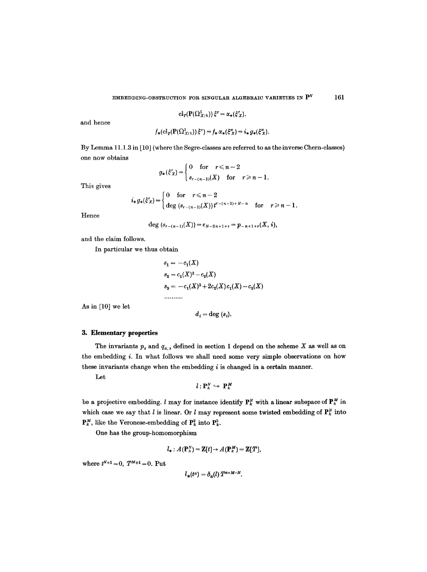$$
\mathrm{cl}_{T}(\mathbf{P}(\Omega^1_{X/k}))\xi^r=\alpha_*(\xi^r_X).
$$

and hence

$$
f_{*}(\mathrm{cl}_{T}(\mathbf{P}(\Omega^{1}_{X/k}))\xi^{r})=f_{*}\alpha_{*}(\xi^{a}_{X})=i_{*}g_{*}(\xi^{a}_{X}).
$$

By Lemma 11.1.3 in [10] (where the Segre-classes are referred to as the inverse Chern-classes) one now obtains

$$
g_{*}(\xi_{X}^{r}) = \begin{cases} 0 & \text{for } r \leq n-2 \\ s_{r-(n-1)}(X) & \text{for } r \geq n-1. \end{cases}
$$

This gives

$$
i_* g_*(\xi_X^r) = \begin{cases} 0 & \text{for } r \leq n-2 \\ \deg (s_{r-(n-1)}(X)) t^{r-(n-1)+N-n} & \text{for } r \geq n-1 \end{cases}
$$

Hence

$$
\deg (s_{r-(n-1)}(X))=e_{N-2n+1+r}=p_{-n+1+r}(X,i),
$$

and the claim follows.

In particular we thus obtain

$$
s_1 = -c_1(X)
$$
  
\n
$$
s_2 = c_1(X)^2 - c_2(X)
$$
  
\n
$$
s_3 = -c_1(X)^3 + 2c_2(X)c_1(X) - c_3(X)
$$
  
\n
$$
\dots
$$

As in [10] we let

$$
d_i = \deg(s_i).
$$

#### **3. Elementary properties**

The invariants  $p_s$  and  $q_{\alpha,s}$  defined in section 1 depend on the scheme X as well as on the embedding i. In what follows we shall need some very simple observations on how these invariants change when the embedding  $i$  is changed in a certain manner.

Let

$$
l: \mathbf{P}_k^N \hookrightarrow \mathbf{P}_k^M
$$

be a projective embedding.  $l$  may for instance identify  $\mathbf{P}_{k}^{N}$  with a linear subspace of  $\mathbf{P}_{k}^{M}$  in which case we say that  $l$  is linear. Or  $l$  may represent some twisted embedding of  $P_k^N$  into  ${\bf P}_k^M$ , like the Veronese-embedding of  ${\bf P}_k^2$  into  ${\bf P}_k^5$ .

One has the group-homomorphism

$$
l_*: A(\mathbf{P}_k^N) = \mathbf{Z}[t] \rightarrow A(\mathbf{P}_k^M) = \mathbf{Z}[T],
$$

where  $t^{N+1} = 0$ ,  $T^{M+1} = 0$ . Put

$$
l_*(t^\alpha)=\delta_\alpha(l)\,T^{\alpha+M-N}.
$$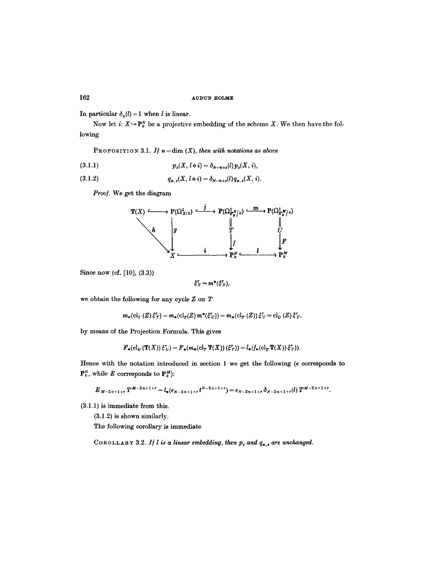In particular  $\delta_{\alpha}(l)=1$  when l is linear.

Now let i:  $X \hookrightarrow P_k^N$  be a projective embedding of the scheme X. We then have the following

PROPOSITION 3.1. *If*  $n = \dim(X)$ , then with notations as above

(3.1.1) 
$$
p_s(X, l \circ i) = \delta_{N-n+s}(l) p_s(X, i),
$$

$$
(3.1.2) \t\t q_{\alpha,s}(X, l \circ i) = \delta_{N-n+s}(l) q_{\alpha,s}(X, i).
$$

*Proo].* We get the diagram



Since now (cf. [10], (3.3))

$$
\xi^r_T = m^*(\xi^r_U),
$$

we obtain the following for any cycle  $Z$  on  $T$ 

 $m_*(\text{cl}_{T}(Z) \xi_{T}^r) = m_*(\text{cl}_{T}(Z) m^*(\xi_{U}^r)) = m_*(\text{cl}_{T}(Z)) \xi_{U}^r = \text{cl}_{U}(Z) \xi_{U}^r.$ 

by means of the Projection Formula. This gives

$$
F_*({\rm cl}_U(T(X))\,\xi'_U)=F_*(m_*({\rm cl}_T T(X))\,(\xi'_T))=l_*(f_*(\,{\rm cl}_T T(X))\,\xi'_T)).
$$

Hence with the notation introduced in section 1 we get the following (e corresponds to  ${\bf P}_k^N$ , while E corresponds to  ${\bf P}_k^M$ ):

 $E_{M-2n+1+r}T^{M-2n+1+r} = l_*(e_{N-2n+1+r}t^{N-2n+1+r}) = e_{N-2n+1+r}\delta_{N-2n+1+r}(l)T^{M-2n+1+r}.$ 

{3.1.1) is immediate from this.

(3.1.2) is shown similarly.

The following corollary is immediate

COROLLARY 3.2. If *l* is a linear embedding, then  $p_s$  and  $q_{\alpha,s}$  are unchanged.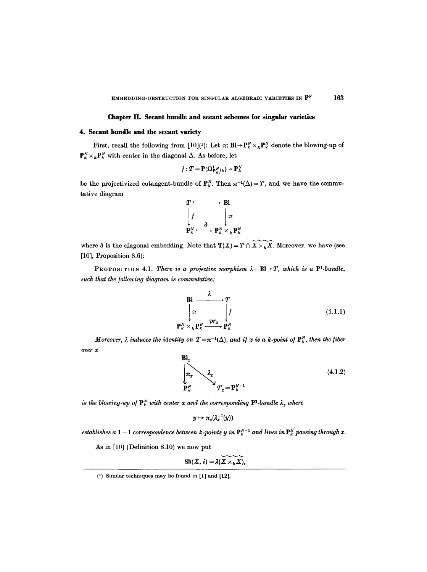# **Chapter H. Secant bundle and secant schemes for singular varieties**

#### **4. Secant bundle and the secant variety**

First, recall the following from  $[10](1)$ : Let  $\pi: \mathbf{Bl} \to \mathbf{P}_k^N \times_k \mathbf{P}_k^N$  denote the blowing-up of  ${\bf P}_{k}^{N} \times_{k} {\bf P}_{k}^{N}$  with center in the diagonal  $\Delta$ . As before, let

$$
f: T = \mathbf{P}(\Omega_{\mathbf{P}_k}^1|_k) \to \mathbf{P}_k^N
$$

be the projectivized cotangent-bundle of  $\mathbf{P}_k^N$ . Then  $\pi^{-1}(\Delta) = T$ , and we have the commutative diagram

$$
T \xrightarrow{\hspace{0.5cm}} \mathbf{Bl} \\
\begin{array}{c}\n\downarrow f \\
\downarrow f \\
\mathbf{P}_k^N \xrightarrow{\hspace{0.5cm}} \delta \xrightarrow{\hspace{0.5cm}} \mathbf{P}_k^N \times_R \mathbf{P}_k^N\n\end{array}
$$

where  $\delta$  is the diagonal embedding. Note that  $T(X) = T \cap \widetilde{X \times_k X}$ . Moreover, we have (see [10], Proposition 8.6):

**PROPOSITION** 4.1. *There is a projective morphism*  $\lambda = \text{Bl} \rightarrow T$ , *which is a* P<sup>l</sup>-bundle, such that the following diagram is commutative:

$$
\begin{array}{ccc}\n\mathbf{B} & \xrightarrow{\lambda} & T \\
\downarrow{\pi} & & \downarrow{f} \\
\mathbf{P}_k^N \times_k \mathbf{P}_k^N \xrightarrow{pr_2} \mathbf{P}_k^N\n\end{array} \tag{4.1.1}
$$

*Moreover,*  $\lambda$  *induces the identity on*  $T = \pi^{-1}(\Delta)$ *, and if x is a k-point of*  $P_k^N$ *, then the fiber over x* 

$$
\begin{array}{ccc}\n\mathbf{B}1_{z} & & \\
\downarrow & & \downarrow & \\
\mathbf{T}_{x} & & \downarrow & \\
\mathbf{P}_{k}^{N} & & T_{x} = \mathbf{P}_{k}^{N-1}\n\end{array} \tag{4.1.2}
$$

*is the blowing-up of*  $P_k^N$  with center x and the corresponding  $P^1$ -bundle  $\lambda_x$  where

$$
y\mapsto \pi_x(\lambda_x^{-1}(y))
$$

*establishes a*  $1-1$  *correspondence between k-points y in*  $P_k^{N-1}$  *and lines in*  $P_k^N$  *passing through x.* 

As in [10] (Definition 8.10) we now put

$$
\mathbf{Sb}(X, i) = \lambda(\widetilde{X \times_k X}),
$$

<sup>(1)</sup> Similar techniques may be found in [1] and [12].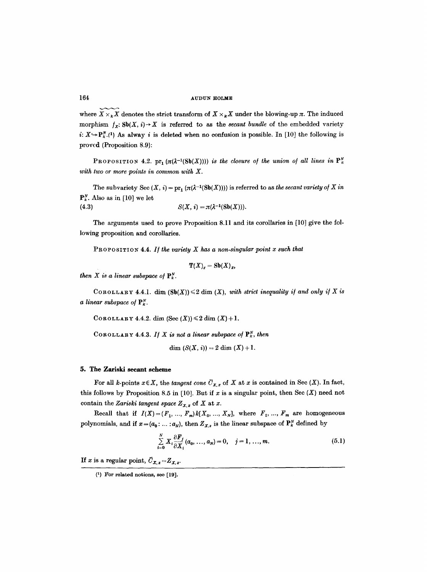where  $\overline{X} \times_k \overline{X}$  denotes the strict transform of  $\overline{X} \times_k \overline{X}$  under the blowing-up  $\pi$ . The induced morphism  $f_x$ :  $\mathbf{S}\mathbf{b}(X, i) \rightarrow X$  is referred to as the *secant bundle* of the embedded variety *i*:  $X \rightarrow P_K^N$ .(1) As alway *i* is deleted when no confusion is possible. In [10] the following is proved (Proposition 8.9):

PROPOSITION 4.2.  $pr_1 (\pi(\lambda^{-1}(Sb(X))))$  is the closure of the union of all lines in  $P^N_k$ *with two or more points in common with X.* 

The subvariety Sec  $(X, i) = pr_1 (\pi(\lambda^{-1}(Sb(X))))$  is referred to as *the secant variety of* X in  $\mathbf{P}_{k}^{N}$ . Also as in [10] we let

$$
(4.3) \tS(X, i) = \pi(\lambda^{-1}(\mathrm{Sb}(X))).
$$

The arguments used to prove Proposition 8.11 and its corollaries in [10] give the following proposition and corollaries.

PROPOSITION 4.4. *I/ the variety X has a non-singular point x such that* 

$$
\mathbf{T}(X)_x = \mathrm{Sb}(X)_x,
$$

*then*  $X$  *is a linear subspace of*  $P_{k}^{N}$ .

COROLLARY 4.4.1. dim  $(Sb(X)) \leq 2$  dim  $(X)$ , *with strict inequality if and only if* X is *a linear subspace of*  $P_{k}^{N}$ .

COROLLABY 4.4.2. dim  $(Sec(X)) \leq 2$  dim  $(X) + 1$ .

COROLLABY 4.4.3. If X is not a linear subspace of  $\mathbf{P}_k^N$ , then

dim  $(S(X, i)) = 2 \dim(X) + 1$ .

#### **5. The Zariski secant scheme**

For all k-points  $x \in X$ , the *tangent cone*  $\overline{C}_{X,x}$  of X at x is contained in Sec (X). In fact, this follows by Proposition 8.5 in [10]. But if  $x$  is a singular point, then Sec  $(X)$  need not contain the *Zariski tangent space*  $Z_{X,x}$  of X at x.

Recall that if  $I(X)=(F_1, ..., F_m)k[X_0, ..., X_N]$ , where  $F_1, ..., F_m$  are homogeneous polynomials, and if  $x = (a_0 : ... : a_N)$ , then  $Z_{x,x}$  is the linear subspace of  $\mathbb{P}_k^N$  defined by

$$
\sum_{i=0}^{N} X_i \frac{\partial F_j}{\partial X_i} (a_0, ..., a_N) = 0, \quad j = 1, ..., m.
$$
 (5.1)

If x is a regular point,  $\bar{C}_{x,z} = Z_{x,z}$ .

 $(1)$  For related notions, see [19].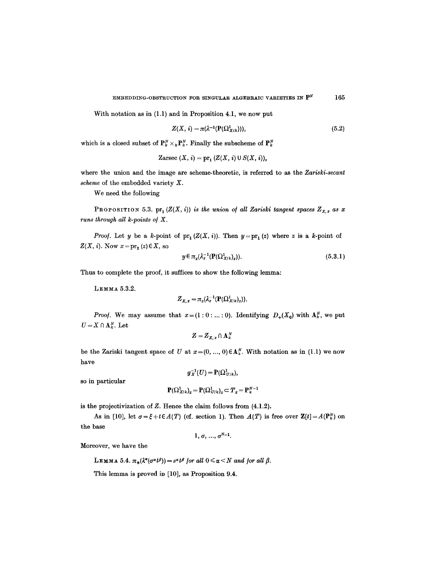With notation as in (1.1) and in Proposition 4.1, we now put

$$
Z(X, i) = \pi(\lambda^{-1}(\mathbf{P}(\Omega^1_{X/k}))), \tag{5.2}
$$

which is a closed subset of  $P_k^N \times_k P_k^N$ . Finally the subscheme of  $P_k^N$ 

Zarsec 
$$
(X, i) = pr_1(Z(X, i) \cup S(X, i)),
$$

where the union and the image are scheme-theoretic, is referred to as the *Zariski-secant scheme of* the embedded variety X.

We need the following

PROPOSITION 5.3.  $pr_1(Z(X, i))$  is the union of all Zariski tangent spaces  $Z_{X, x}$  as x *runs through all k-points of X.* 

*Proof.* Let y be a k-point of  $pr_1(Z(X, i))$ . Then  $y = pr_1(z)$  where z is a k-point of  $Z(X, i)$ . Now  $x = \text{pr}_2(z) \in X$ , so

$$
y \in \pi_x(\lambda_x^{-1}(\mathbf{P}(\Omega_{X/k})_x)).\tag{5.3.1}
$$

Thus to complete the proof, it suffices to show the following lemma:

LEMMA 5.3.2.

$$
Z_{X,\,x} = \pi_x(\lambda_x^{-1}(\mathbf{P}(\Omega^1_{X/k})_x)).
$$

*Proof.* We may assume that  $x = (1:0:...:0)$ . Identifying  $D_+(X_0)$  with  $A_k^N$ , we put  $U = X \cap A_k^N$ . Let

$$
Z = Z_{X,\,x} \cap \mathbf{A}^N_k
$$

be the Zariski tangent space of U at  $x=(0, ..., 0) \in A_{k}^{N}$ . With notation as in (1.1) we now have

$$
g_X^{-1}(U) = \mathbf{P}(\Omega_{U/k}^1),
$$

so in particular

$$
\mathbf{P}(\Omega^1_{X/k})_x = \mathbf{P}(\Omega^1_{U/k})_x \subset T_x = \mathbf{P}^{N-1}_k
$$

is the projectivization of Z. Hence the claim follows from (4.1.2).

As in [10], let  $\sigma = \xi + t \in A(T)$  (cf. section 1). Then  $A(T)$  is free over  $\mathbf{Z}[t] = A(\mathbf{P}_k^N)$  on the base

1,  $\sigma$ , ...,  $\sigma^{N-1}$ .

Moreover, we have the

LEMMA 5.4.  $\pi_* (\lambda^* (\sigma^{\alpha} t^{\beta})) = s^{\alpha} t^{\beta}$  for all  $0 \leq \alpha \leq N$  and for all  $\beta$ .

This lemma is proved iv [10], as Proposition 9.4.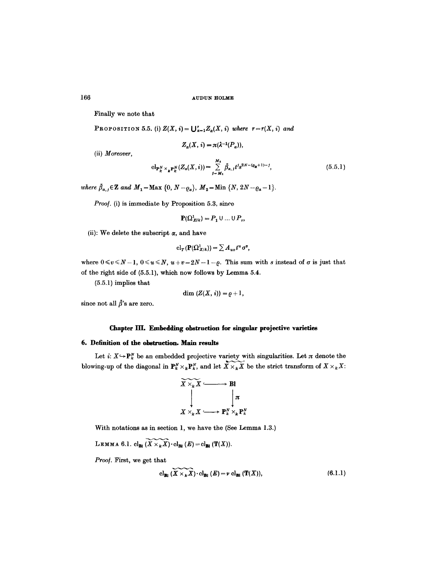Finally we note that

PROPOSITION 5.5. (i)  $Z(X, i) = \bigcup_{\alpha=1}^{r} Z_{\alpha}(X, i)$  *where*  $r = r(X, i)$  *and* 

$$
Z_a(X, i) = \pi(\lambda^{-1}(P_a)),
$$

(ii) *Moreover,* 

$$
\mathrm{cl}_{\mathbf{P}_{k}^{N} \times_{k} \mathbf{P}_{k}^{N}}(Z_{\alpha}(X,i)) = \sum_{j=M_{1}}^{M_{2}} \bar{\beta}_{\alpha,j} t^{j} s^{2N - (Q_{\alpha}+1) - j}, \qquad (5.5.1)
$$

*where*  $\bar{\beta}_{\alpha,i} \in \mathbb{Z}$  and  $M_1 = \text{Max } \{0, N - \rho_\alpha\}, M_2 = \text{Min } \{N, 2N - \rho_\alpha - 1\}.$ 

*Proof.* (i) is immediate by Proposition 5.3, since

$$
\mathbf{P}(\Omega_{X/k}^1) = P_1 \cup ... \cup P_r,
$$

(ii): We delete the subscript  $\alpha$ , and have

$$
\operatorname{cl}_T(\mathbf{P}(\Omega^1_{X/k})) = \sum A_{uv} t^u \sigma^v,
$$

where  $0 \le v \le N-1$ ,  $0 \le u \le N$ ,  $u+v=2N-1-\rho$ . This sum with s instead of  $\sigma$  is just that of the right side of (5.5.1), which now follows by Lemma 5.4.

(5.5.1) implies that

$$
\dim (Z(X,i)) = \varrho + 1,
$$

since not all  $\tilde{\beta}$ 's are zero.

# **Chapter E[I. Embedding obstruction for singular projective varieties**

### **6. Definition of the obstruetion. Main results**

Let i:  $X \rightarrow P_k^N$  be an embedded projective variety with singularities. Let  $\pi$  denote the blowing-up of the diagonal in  $\mathbf{P}_k^N \times_k \mathbf{P}_k^N$ , and let  $\widetilde{X} \times_k \widetilde{X}$  be the strict transform of  $X \times_k X$ :

$$
\widetilde{X \times_k X} \longleftrightarrow B1
$$
\n
$$
\downarrow \pi
$$
\n
$$
X \times_k X \longleftrightarrow P_k^N \times_k P_k^N
$$

With notations as in section 1, we have the (See Lemma 1.3.)

LEMMA 6.1.  $\text{cl}_{\text{B1}}\left(\widetilde{X\times_k X}\right)\cdot \text{cl}_{\text{B1}}\left(E\right)=\text{cl}_{\text{B1}}\left(\text{T}(X)\right).$ 

*Proo].* First, we get that

$$
\operatorname{cl}_{\mathbf{B1}}\left(\widetilde{X\times_k X}\right)\cdot\operatorname{cl}_{\mathbf{B1}}\left(E\right)=\nu\operatorname{cl}_{\mathbf{B1}}\left(\mathbf{T}(X)\right),\tag{6.1.1}
$$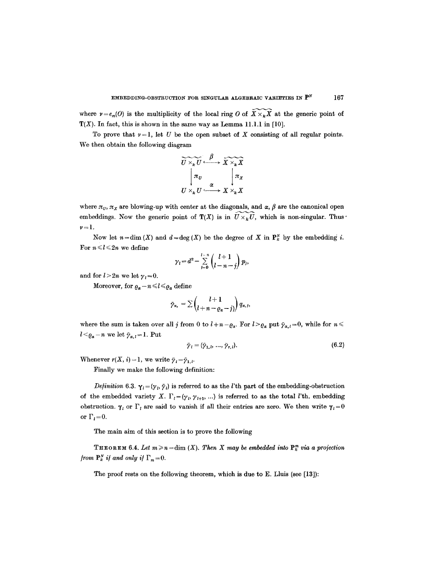where  $\nu = e_m(0)$  is the multiplicity of the local ring O of  $\widetilde{X \times_k X}$  at the generic point of  $T(X)$ . In fact, this is shown in the same way as Lemma 11.1.1 in [10].

To prove that  $\nu = 1$ , let U be the open subset of X consisting of all regular points. We then obtain the following diagram

$$
\overbrace{U \times_k U \xrightarrow{\beta} X \times_k X}^{\overbrace{U \times_k U \xrightarrow{\beta}} \overbrace{X \times_k X}^{\overbrace{X \times_k X}}}
$$

where  $\pi_U$ ,  $\pi_X$  are blowing-up with center at the diagonals, and  $\alpha$ ,  $\beta$  are the canonical open embeddings. Now the generic point of  $T(X)$  is in  $\tilde{U} \times_k U$ , which is non-singular. Thus  $v=1$ .

Now let  $n=\dim(X)$  and  $d=\deg(X)$  be the degree of X in  $\mathbf{P}_k^N$  by the embedding i. For  $n \leq l \leq 2n$  we define

$$
\gamma_i = d^2 - \sum_{j=0}^{l-n} \binom{l+1}{l-n-j} p_j,
$$

and for  $l>2n$  we let  $\gamma_l=0$ .

Moreover, for  $\varrho_{\alpha} - n \leq l \leq \varrho_{\alpha}$  define

$$
\bar{\gamma}_{\alpha_{\star}} = \sum \begin{pmatrix} l+1 \\ l+n-\varrho_{\alpha}-j \end{pmatrix} q_{\alpha,j},
$$

where the sum is taken over all j from 0 to  $l+n-q_{\alpha}$ . For  $l>_{\varrho_{\alpha}}$  put  $\bar{\gamma}_{\alpha,l}=0$ , while for  $n\leq$  $l < \varrho_{\alpha} - n$  we let  $\bar{\gamma}_{\alpha, l} = 1$ . Put

$$
\bar{\gamma}_l = (\bar{\gamma}_{1,l}, \, ..., \, \bar{\gamma}_{r,l}). \tag{6.2}
$$

Whenever  $r(X, i) = 1$ , we write  $\tilde{\gamma}_i = \tilde{\gamma}_{1,i}$ .

Finally we make the following definition:

*Definition* 6.3.  $\gamma_i = (\gamma_i, \bar{\gamma}_i)$  is referred to as the *l*'th part of the embedding-obstruction of the embedded variety X.  $\Gamma_i = (\gamma_i, \gamma_{i+1}, ...)$  is referred to as the total *l'*th, embedding obstruction.  $\gamma_i$  or  $\Gamma_i$  are said to vanish if all their entries are zero. We then write  $\gamma_i = 0$ or  $\Gamma_i=0$ .

The main aim of this section is to prove the following

THEOREM 6.4. Let  $m \geq n=\dim(X)$ . Then X may be embedded into  $P^m_k$  via a projection *from*  $P_k^N$  *if and only if*  $\Gamma_m = 0$ .

The proof rests on the following theorem, which is due to E. Lluis (see [13]):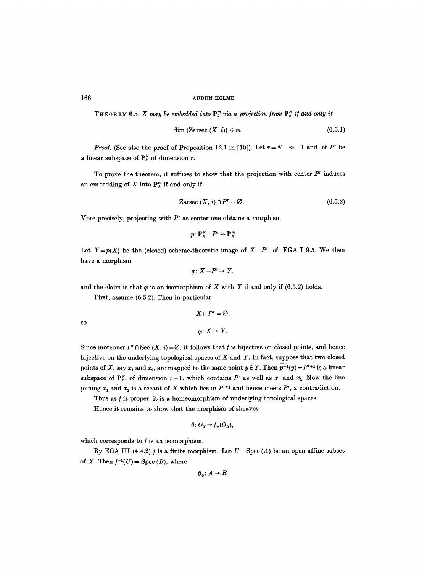**THEOREM** 6.5. *X* may be embedded into  $P_k^m$  via a projection from  $P_k^N$  if and only if

$$
\dim (\text{Zarsec } (X, i)) \leqslant m. \tag{6.5.1}
$$

*Proof.* (See also the proof of Proposition 12.1 in [10]). Let  $r = N-m-1$  and let P<sup>r</sup> be a linear subspace of  $P_k^N$  of dimension r.

To prove the theorem, it suffices to show that the projection with center  $P<sup>r</sup>$  induces an embedding of X into  $\mathbf{P}_{k}^{m}$  if and only if

$$
\text{Zarsec } (X, i) \cap P^r = \varnothing. \tag{6.5.2}
$$

More precisely, projecting with  $P^r$  as center one obtains a morphism

$$
p\colon \mathbf{P}_k^N\!-\!P^r\!\to\!\mathbf{P}_k^m.
$$

Let  $Y = p(X)$  be the (closed) scheme-theoretic image of  $X - P^r$ , cf. EGA I 9.5. We then have a morphism

$$
\varphi\colon X-P^r\to Y,
$$

and the claim is that  $\varphi$  is an isomorphism of X with Y if and only if (6.5.2) holds.

First, assume (6.5.2). Then in particular

$$
X \cap P^r = \varnothing,
$$
  

$$
\varphi \colon X \to Y.
$$

Since moreover  $P^r \cap \text{Sec } (X, i) = \emptyset$ , it follows that f is bijective on closed points, and hence bijective on the underlying topological spaces of  $X$  and  $Y$ : In fact, suppose that two closed points of X, say  $x_1$  and  $x_2$ , are mapped to the same point  $y \in Y$ . Then  $p^{-1}(y) = P^{r+1}$  is a linear subspace of  $\mathbf{P}_{k}^{N}$ , of dimension  $r+1$ , which contains P<sup>r</sup> as well as  $x_1$  and  $x_2$ . Now the line joining  $x_1$  and  $x_2$  is a secant of X which lies in  $P^{r+1}$  and hence meets  $P^r$ , a contradiction.

Thus as  $f$  is proper, it is a homeomorphism of underlying topological spaces.

Hence it remains to show that the morphism of sheaves

$$
\theta\colon O_Y\to f_*(O_X),
$$

which corresponds to  $f$  is an isomorphism.

By EGA III (4.4.2) f is a finite morphism. Let  $U = \text{Spec} (A)$  be an open affine subset of Y. Then  $f^{-1}(U) = \text{Spec} (B)$ , where

$$
\theta_U: A \to B
$$

SO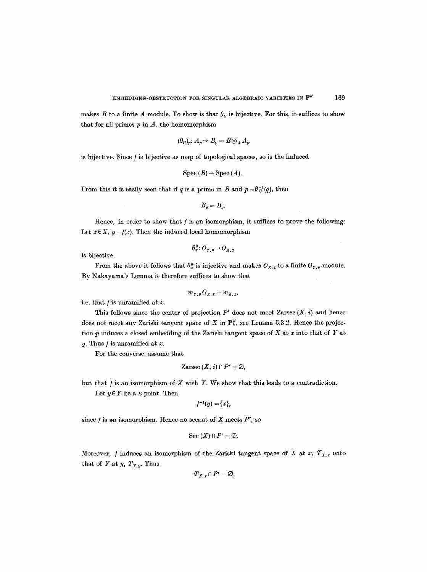makes B to a finite A-module. To show is that  $\theta_U$  is bijective. For this, it suffices to show that for all primes  $p$  in  $A$ , the homomorphism

$$
(\theta_U)_p: A_p \to B_p = B \otimes_A A_p
$$

is bijective. Since  $f$  is bijective as map of topological spaces, so is the induced

$$
Spec (B) \rightarrow Spec (A).
$$

From this it is easily seen that if q is a prime in B and  $p = \theta_U^{-1}(q)$ , then

$$
B_n=B_n.
$$

Hence, in order to show that  $f$  is an isomorphism, it suffices to prove the following: Let  $x \in X$ ,  $y = f(x)$ . Then the induced local homomorphism

 $\theta^{\#}_{x}: O_{Y,y} \rightarrow O_{X,x}$ 

is bijective.

From the above it follows that 
$$
\theta_x^{\#}
$$
 is injective and makes  $O_{x,z}$  to a finite  $O_{y,y}$ -module.  
By Nakayama's Lemma it therefore suffices to show that

$$
m_{Y,y} O_{X,x} = m_{X,x},
$$

 $\sim$ 

i.e. that  $f$  is unramified at  $x$ .

This follows since the center of projection  $P^r$  does not meet Zarsec  $(X, i)$  and hence does not meet any Zariski tangent space of X in  $\mathbb{P}_k^N$ , see Lemma 5.3.2. Hence the projection  $p$  induces a closed embedding of the Zariski tangent space of  $X$  at  $x$  into that of  $Y$  at y. Thus  $f$  is unramified at  $x$ .

For the converse, assume that

$$
\text{Zarsec } (X, i) \cap P^r + \varnothing,
$$

but that  $f$  is an isomorphism of  $X$  with  $Y$ . We show that this leads to a contradiction.

Let  $y \in Y$  be a k-point. Then

$$
f^{-1}(y) = \{x\},\
$$

since  $f$  is an isomorphism. Hence no secant of  $X$  meets  $P^r$ , so

$$
{\rm Sec}\,(X)\cap P^r=\varnothing
$$

Moreover, f induces an isomorphism of the Zariski tangent space of X at  $x$ ,  $T_{x,x}$  onto that of  $Y$  at  $y$ ,  $T_{Y,y}$ . Thus

$$
T_{X,x}\cap P^r=\varnothing,
$$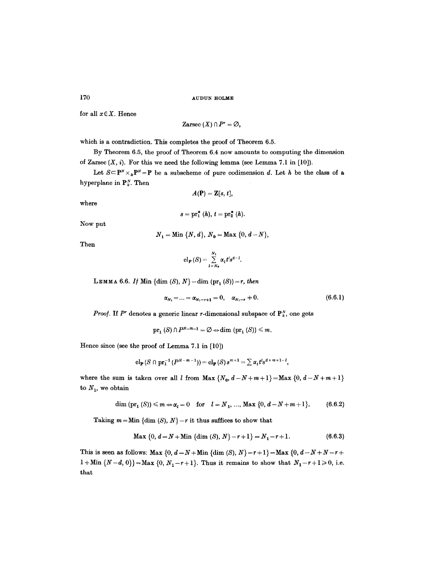for all  $x \in X$ . Hence

Zarsec 
$$
(X) \cap P^r = \emptyset
$$
,

which is a contradiction. This completes the proof of Theorem 6.5.

By Theorem 6.5, the proof of Theorem 6.4 now amounts to computing the dimension of Zarsec  $(X, i)$ . For this we need the following lemma (see Lemma 7.1 in [10]).

Let  $S \subset \mathbf{P}^N \times_k \mathbf{P}^N = \mathbf{P}$  be a subscheme of pure codimension d. Let h be the class of a hyperplane in  $P_k^N$ . Then

$$
A(\mathbf{P})=\mathbf{Z}[s,t],
$$

where

$$
s = \text{pr}_1^* (h), t = \text{pr}_2^* (h).
$$

Now put

$$
N_1 = \text{Min } \{N, d\}, N_0 = \text{Max } \{0, d - N\},
$$

Then

$$
\operatorname{cl}_{\mathbf{P}}(S)=\sum_{l=N_0}^{N_1}\alpha_l t^l s^{d-l}.
$$

LEMMA 6.6. If Min  $\{dim (S), N\}-dim (pr_1 (S))=r$ , *then* 

$$
\alpha_{N_1} = \ldots = \alpha_{N_1 - r + 1} = 0, \quad \alpha_{N_1 - r} \neq 0. \tag{6.6.1}
$$

*Proof.* If P<sup>r</sup> denotes a generic linear r-dimensional subspace of  $P_k^N$ , one gets

$$
\operatorname{pr}_{1}(S)\cap P^{N-m-1}=\emptyset \Leftrightarrow \dim (\operatorname{pr}_{1}(S))\leq m.
$$

Hence since (see the proof of Lemma 7.1 in [10])

$$
\mathbf{cl}_{\mathbf{P}}(S \cap \mathbf{pr}_{1}^{-1}(P^{N-m-1})) = \mathbf{cl}_{\mathbf{P}}(S) s^{m+1} = \sum \alpha_{i} t^{l} s^{d+m+1-l},
$$

where the sum is taken over all l from Max  $\{N_0, d-N+m+1\} =$ Max  $\{0, d-N+m+1\}$ to  $N_1$ , we obtain

$$
\dim \left( {\rm pr}_1 \left( S \right) \right) \leq m \Leftrightarrow \alpha_l = 0 \quad \text{for} \quad l = N_1, ..., \text{Max } \{0, d - N + m + 1\}. \tag{6.6.2}
$$

Taking  $m =$ **Min**  $\{\dim(S), N\} - r$  it thus suffices to show that

$$
\text{Max } \{0, d - N + \text{Min } \{ \dim (S), N \} - r + 1 \} = N_1 - r + 1. \tag{6.6.3}
$$

This is seen as follows: Max  $\{0, d-N+Min \{dim (S), N\}-r+1\} = Max \{0, d-N+N-r+1\}$  $1+Min \{N-d, 0\}$  = Max  $\{0, N_1-r+1\}$ . Thus it remains to show that  $N_1-r+1\geq 0$ , i.e. that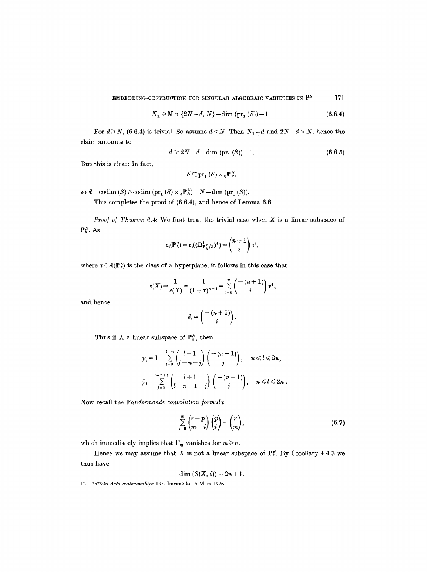EMBEDDING-OBSTRUCTION FOR SINGULAR ALGEBRAIC VARIETIES IN  $P^N$  171

$$
N_1 \geq \text{Min } \{2N - d, N\} - \text{dim } (\text{pr}_1(S)) - 1. \tag{6.6.4}
$$

For  $d \ge N$ , (6.6.4) is trivial. So assume  $d \le N$ . Then  $N_1 = d$  and  $2N-d > N$ , hence the claim amounts to

$$
d \geqslant 2N - d - \dim \left( \text{pr}_1 \left( S \right) \right) - 1. \tag{6.6.5}
$$

But this is clear: In fact,

$$
S \subseteq \mathrm{pr}_{1} (S) \times_{k} \mathbf{P}_{k}^{N},
$$

so  $d = \operatorname{codim} (S) \ge \operatorname{codim} (\operatorname{pr}_1 (S) \times_k \mathbf{P}_k^N) = N - \dim (\operatorname{pr}_1 (S)).$ 

This completes the proof of (6.6.4), and hence of Lemma 6.6.

*Proof of Theorem* 6.4: We first treat the trivial case when X is a linear subspace of  $\mathbf{P}_{k}^{N}$ . As

$$
c_i(\mathbf{P}_k^n)=c_i((\Omega_{\mathbf{P}_k^n/k}^1)^*)=\binom{n+1}{i}\,\tau^i,
$$

where  $\tau \in A(\mathbf{P}_k^n)$  is the class of a hyperplane, it follows in this case that

$$
s(X) = \frac{1}{c(X)} = \frac{1}{(1+\tau)^{n+1}} = \sum_{i=0}^{n} {\binom{-(n+1)}{i}} \tau^{i},
$$

and hence

$$
d_i = \binom{- (n+1)}{i}.
$$

Thus if X a linear subspace of  $\mathbf{P}_{k}^{N}$ , then

$$
\gamma_l = 1 - \sum_{j=0}^{l-n} {l+1 \choose l-n-j} {-n+1 \choose j}, \quad n \leq l \leq 2n,
$$
  

$$
\bar{\gamma}_l = \sum_{j=0}^{l-n+1} {l+1 \choose l-n+1-j} {-n+1 \choose j}, \quad n \leq l \leq 2n.
$$

Now recall the *Vandermonde convolution ]ormula* 

$$
\sum_{i=0}^{m} {r-p \choose m-i} {p \choose i} = {r \choose m}, \qquad (6.7)
$$

which immediately implies that  $\Gamma_m$  vanishes for  $m \geq n$ .

Hence we may assume that X is not a linear subspace of  $P_{k}^{N}$ . By Corollary 4.4.3 we thus have

$$
\dim(S(X, i)) = 2n + 1.
$$

12-752906 *Acta mathemathica* 135. Imrim6 le 15 Mars 1976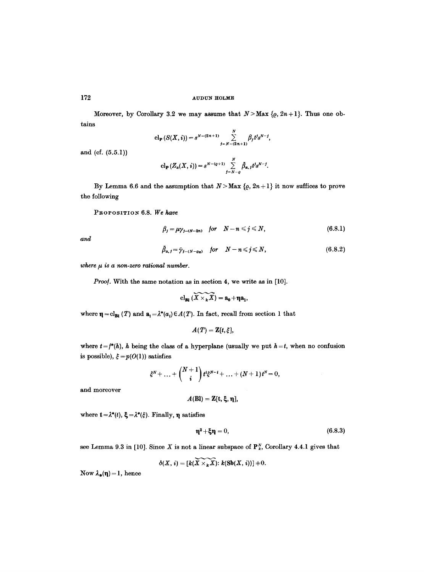Moreover, by Corollary 3.2 we may assume that  $N >$ Max  $\{Q, 2n+1\}$ . Thus one ob**tains** 

$$
\mathrm{cl}_{\mathbf{P}}(S(X,i)) = s^{N-(2n+1)} \sum_{j=N-(2n+1)}^{N} \beta_j t^j s^{N-j},
$$

and (cf. (5.5.1))

$$
\mathrm{cl}_{\mathbf{P}}\left(Z_{\alpha}(X,i)\right)=s^{N-(\varrho+1)}\sum_{j=N-\varrho}^N \bar{\beta}_{\alpha,j}t^js^{N-j}.
$$

By Lemma 6.6 and the assumption that  $N >$ Max  $\{Q, 2n+1\}$  it now suffices to prove the following

PROPOSITION 6.8. We have

$$
\beta_j = \mu \gamma_{j-(N-2n)} \quad \text{for} \quad N-n \leq j \leq N, \tag{6.8.1}
$$

and

$$
\bar{\beta}_{\alpha,j} = \bar{\gamma}_{j-(N-\varrho_{\alpha})} \quad \text{for} \quad N-n \leq j \leq N, \tag{6.8.2}
$$

 $where  $\mu$  is a non-zero rational number.$ 

*Proof.* With the same notation as in section 4, we write as in [10].

$$
\mathrm{cl}_{\text{Bl}}\hspace{0.03cm} (\widetilde{X\times_k X}) = a_0 + \eta a_1,
$$

where  $\eta = cl_{B1}(T)$  and  $a_i = \lambda^*(a_i) \in A(T)$ . In fact, recall from section 1 that

$$
A(T)=\mathbf{Z}[t,\xi],
$$

where  $t=f^*(h)$ , h being the class of a hyperplane (usually we put  $h=t$ , when no confusion is possible),  $\xi = p(O(1))$  satisfies

$$
\xi^N
$$
 + ... +  $\binom{N+1}{i} t^i \xi^{N-i}$  + ... +  $(N+1) t^N$  = 0

and moreover

$$
A(\mathbf{Bl}) = \mathbf{Z}[\mathbf{t}, \boldsymbol{\xi}, \boldsymbol{\eta}],
$$

where  $t = \lambda^*(t)$ ,  $\xi = \lambda^*(\xi)$ . Finally,  $\eta$  satisfies

$$
\mathbf{\eta}^2 + \xi \mathbf{\eta} = 0,\tag{6.8.3}
$$

see Lemma 9.3 in [10]. Since X is not a linear subspace of  $P_k^N$ , Corollary 4.4.1 gives that

$$
\delta(X, i) = [k(\widetilde{X \times_k X}) : k(\mathrm{Sb}(X, i))] + 0.
$$

Now  $\lambda_*(\eta) = 1$ , hence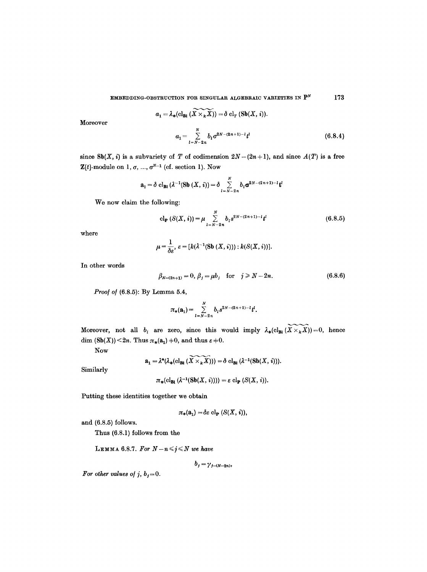EMBEDDING-OBSTRUCTION FOR SINGULAR ALGEBRAIC VARIETIES IN  $\mathbf{P}^N$ 173

$$
a_1 = \lambda_* (\text{cl}_{\text{Bi}}\left(\widetilde{X \times_k X}\right)) = \delta \text{ cl}_T \left(\text{Sb}(X, i)\right).
$$

$$
a_1 = \sum_{l=N-2n}^{N} b_l \sigma^{2N-(2n+1)-l} t^l \tag{6.8.4}
$$

Moreover

since 
$$
Sh(X, i)
$$
 is a subvariety of  $T$  of codimension  $2N - (2n + 1)$ , and since  $A(T)$  is a free  $\mathbb{Z}[t]$ -module on  $1, \sigma, \ldots, \sigma^{N-1}$  (cf. section 1). Now

$$
\mathbf{a_1} = \delta \ \mathrm{cl}_{\mathbf{B1}}\left(\lambda^{-1}(\mathbf{S}\mathbf{b}\left(\mathbf{X}, i\right))\right) = \delta \sum_{l=N-2}^{N} b_l \sigma^{2N-(2n+1)-l} t^l
$$

We now claim the following:

$$
\text{cl}_{\mathbf{P}}\left(S(X,i)\right) = \mu \sum_{l=N-2n}^{N} b_l s^{2N-(2n+1)-l} t^l \tag{6.8.5}
$$

where

$$
\mu = \frac{1}{\delta \varepsilon}, \ \varepsilon = [k(\lambda^{-1}(\mathrm{Sb}\,(X,i))):k(S(X,i))].
$$

In other words

$$
\beta_{N-(2n+1)} = 0, \ \beta_j = \mu b_j \quad \text{for} \quad j \ge N-2n.
$$
 (6.8.6)

*Proof of* (6.8.5): By Lemma 5.4,

$$
\pi_*(\mathbf{a}_1) = \sum_{l=N-2n}^{N} b_l s^{2N-(2n+1)-l} t^l.
$$

Moreover, not all  $b_i$  are zero, since this would imply  $\lambda_*(\text{cl}_{B_i}(\widetilde{X\times_k X}))=0$ , hence dim  $(Sb(X)) < 2n$ . Thus  $\pi_*(a_1) \neq 0$ , and thus  $\varepsilon \neq 0$ .

Now

$$
a_1 = \lambda^*(\lambda_*(\text{cl}_{Bl}(\widetilde{X\times_k X}))) = \delta \text{ cl}_{Bl}(\lambda^{-1}(\text{Sb}(X,i))).
$$

Similarly

$$
\pi_*(\mathrm{cl}_{\mathbf{B}!}\left(\lambda^{-1}(\mathrm{Sb}(X,i))\right))=\varepsilon \mathrm{cl}_{\mathbf{P}}\left(S(X,i)\right).
$$

Putting these identities together we obtain

$$
\pi_*(\mathbf{a}_1) = \delta \varepsilon \operatorname{cl}_{\mathbf{P}} (S(X, i)),
$$

and (6.8.5) follows.

Thus (6.8.1) follows from the

LEMMA 6.8.7. For  $N-n \leq j \leq N$  we have

$$
b_j=\gamma_{j-(N-2n)},
$$

*For other values of j, b<sub>j</sub> = 0.*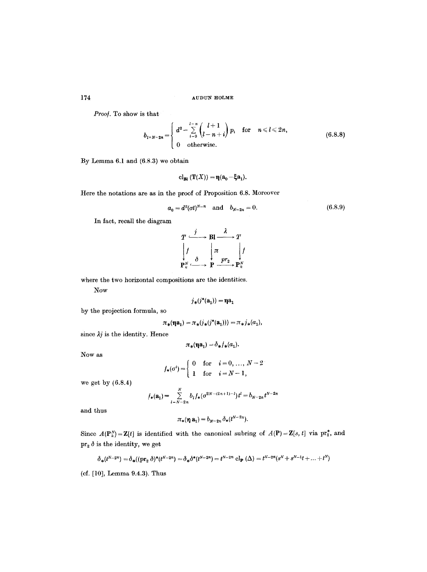*Proo/.* To show is that

$$
b_{l+N-2n} = \begin{cases} d^2 - \sum_{i=0}^{l-n} {l+1 \choose l-n+i} p_i & \text{for} \quad n \leq l \leq 2n, \\ 0 & \text{otherwise.} \end{cases}
$$
 (6.8.8)

By Lemma 6.1 and (6.8.3) we obtain

$$
\mathrm{cl}_{\mathbf{Bl}}\left(\mathrm{T}(X)\right)=\eta(a_{0}-\xi a_{1}).
$$

Here the notations are as in the proof of Proposition 6.8. Moreover

$$
a_0 = d^2(\sigma t)^{N-n} \quad \text{and} \quad b_{N-2n} = 0. \tag{6.8.9}
$$

In fact, recall the diagram

$$
T \xrightarrow{j} \text{Bl} \xrightarrow{\lambda} T
$$
  
\n
$$
\downarrow f \qquad \qquad \downarrow \pi \qquad \qquad \downarrow f
$$
  
\n
$$
\text{P}_{\kappa}^{N} \xrightarrow{\delta} \text{P} \xrightarrow{pr_2} \text{P}_{\kappa}^{N}
$$

where the two horizontal compositions are the identities.

Now

$$
j_*(j^*(\mathbf{a}_1)) = \eta \mathbf{a}_1
$$

by the projection formula, so

$$
\pi_*(\eta a_1) = \pi_*(j_*(j^*(a_1))) = \pi_*j_*(a_1),
$$

since  $\lambda j$  is the identity. Hence

$$
\pi_*(\eta a_1) = \delta_* f_*(a_1).
$$

Now as

$$
f_*(\sigma^i) = \begin{cases} 0 & \text{for } i = 0, ..., N-2 \\ 1 & \text{for } i = N-1, \end{cases}
$$

we get by (6.8.4)

$$
f_*(\mathbf{a}_1) = \sum_{l=N-2n}^{N} b_l f_*(\sigma^{2N-(2n+1)-l}) t^l = b_{N-2n} t^{N-2n}
$$

and thus

$$
\pi_*(\eta \mathbf{a}_1) = b_{N-2n} \, \delta_*(t^{N-2n}).
$$

Since  $A(\mathbf{P}_k^N)=\mathbf{Z}[t]$  is identified with the canonical subring of  $A(\mathbf{P})=\mathbf{Z}[s, t]$  via  $\text{pr}_2^*$ , and  $\mathrm{pr}_2 \, \delta$  is the identity, we get

$$
\delta_*(t^{N-2n}) = \delta_*( (\mathrm{pr}_2 \; \delta)^*(t^{N-2n}) = \delta_*\delta^*(t^{N-2n}) = t^{N-2n} \; \mathrm{cl}_{\mathbf{P}} \; (\Delta) = t^{N-2n} (s^N + s^{N-1}t + \ldots + t^N)
$$

(cf. [10], Lemma 9.4.3). Thus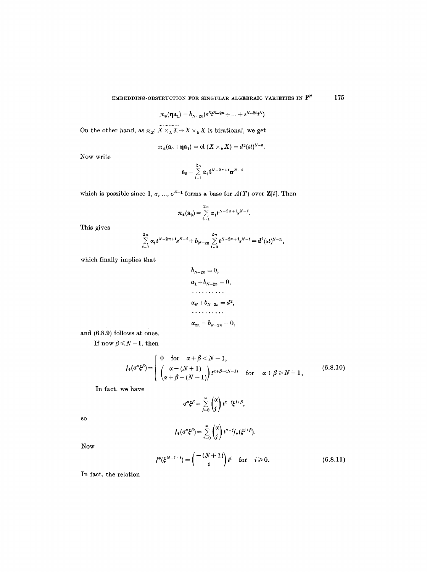EMBEDDING-OBSTRUCTION FOR SINGULAR ALGEBRAIC VARIETIES IN  ${\bf P}^N$ 175

$$
\pi_*(\eta a_1) = b_{N-2n}(s^N t^{N-2n} + \ldots + s^{N-2n} t^N)
$$

On the other hand, as  $\pi_X: \widetilde{X \times_k X} \to X \times_k X$  is birational, we get

$$
\pi_*(\mathbf{a}_0+\mathbf{q}\mathbf{a}_1)=\mathrm{cl}\ (X\times_k X)=d^2(st)^{N-n}.
$$

Now write

$$
\mathbf{a}_0\!=\!\textstyle\sum\limits_{i=1}^{2\,n}\alpha_i\,\mathbf{t}^{N-2\,n+\,i}\mathbf{\sigma}^{N-\,i}
$$

which is possible since 1,  $\sigma$ , ...,  $\sigma^{N-1}$  forms a base for  $A(T)$  over  $\mathbb{Z}[t]$ . Then

$$
\pi_*(\mathbf{a}_0) = \sum_{i=1}^{2n} \alpha_i t^{N-2n+i} s^{N-i}.
$$

This gives

$$
\sum_{i=1}^{2n} \alpha_i t^{N-2n+i} s^{N-i} + b_{N-2n} \sum_{i=0}^{2n} t^{N-2n+i} s^{N-i} = d^2 (st)^{N-n},
$$

which finally implies that

$$
b_{N-2n} = 0,
$$
  
\n
$$
a_1 + b_{N-2n} = 0,
$$
  
\n
$$
\cdots \cdots \cdots
$$
  
\n
$$
\alpha_N + b_{N-2n} = d^2,
$$
  
\n
$$
\cdots \cdots \cdots
$$
  
\n
$$
\alpha_{2n} = b_{N-2n} = 0,
$$

and (6.8.9) follows at once.

If now  $\beta \leq N-1$ , then

$$
f_*(\sigma^{\alpha\xi\beta}) = \begin{cases} 0 & \text{for } \alpha + \beta < N - 1, \\ \left(\frac{\alpha - (N + 1)}{\alpha + \beta - (N - 1)}\right)t^{\alpha + \beta - (N - 1)} & \text{for } \alpha + \beta \ge N - 1, \end{cases} \tag{6.8.10}
$$

In fact, we have

$$
\sigma^{\alpha}\xi^{\beta}=\sum_{j=0}^{\alpha}\binom{\alpha}{j}t^{\alpha-j}\xi^{j+\beta},
$$

SO

$$
f_*(\sigma^{\alpha}\xi^{\beta})=\sum_{i=0}^{\alpha}\binom{\alpha}{j}t^{\alpha-j}f_*(\xi^{j+\beta}).
$$

Now

$$
f^*(\xi^{N-1+i}) = \binom{-(N+1)}{i} t^i \quad \text{for} \quad i \geq 0. \tag{6.8.11}
$$

In fact, the relation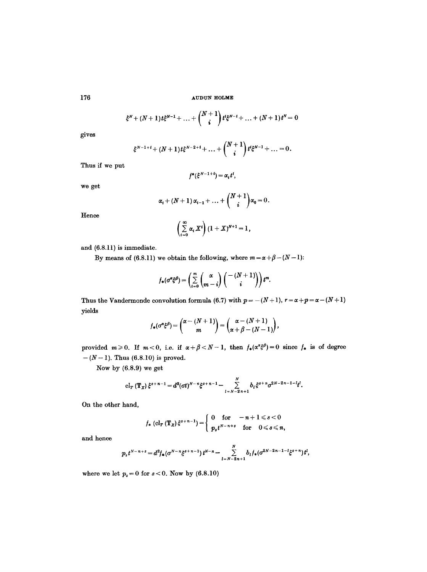$$
\xi^{N}+(N+1)t\xi^{N-1}+\ldots+\binom{N+1}{i}t^{t}\xi^{N-i}+\ldots+(N+1)t^{N}=0
$$

gives

$$
\xi^{N-1+i}+(N+1)t\xi^{N-2+i}+\ldots+\binom{N+1}{i}t^i\xi^{N-1}+\ldots=0.
$$

Thus if we put

$$
f^*(\xi^{N-1+i})=\alpha_i t^i,
$$

we get

$$
\alpha_i + (N+1)\alpha_{i-1} + \ldots + {N+1 \choose i} \alpha_0 = 0.
$$

Hence

$$
\left(\sum_{i=0}^{\infty} \alpha_i X^i\right) (1+X)^{N+1} = 1,
$$

and (6.8.11) is immediate.

By means of (6.8.11) we obtain the following, where  $m = \alpha + \beta - (N-1)$ :

$$
f_*(\sigma^{\alpha}\xi^{\beta}) = \left(\sum_{i=0}^m { \alpha \choose m-i} {-(N+1) \choose i} \right) t^m.
$$

Thus the Vandermonde convolution formula (6.7) with  $p = -(N+1)$ ,  $r = \alpha + p = \alpha - (N+1)$ yields

$$
f_*(\sigma^{\alpha}\xi^{\beta}) = {\alpha-(N+1) \choose m} = {\alpha-(N+1) \choose \alpha+\beta-(N-1)},
$$

provided  $m\geq 0$ . If  $m<0$ , i.e. if  $\alpha+\beta< N-1$ , then  $f_*(\alpha^{\alpha}\xi^{\beta})=0$  since  $f_*$  is of degree  $-(N-1)$ . Thus (6.8.10) is proved.

Now by (6.8.9) we get

$$
\mathrm{cl}_{T} \left( \mathbf{T}_{X} \right) \xi^{s+n-1} = d^{2}(\sigma t)^{N-n} \xi^{s+n-1} - \sum_{l=N-2}^{N} b_{l} \xi^{s+n} \sigma^{2N-2n-1-l} t^{l}.
$$

On the other hand,

$$
f_*\left(\mathrm{cl}_T\left(\mathrm{T}_X\right)\xi^{s+n-1}\right)=\left\{\begin{array}{ll}0\quad\text{for}\quad-n+1\leqslant s<0\\ p_st^{N-n+s}\quad\text{for}\quad0\leqslant s\leqslant n,\end{array}\right.
$$

and hence

$$
p_s t^{N-n+s}=d^2 f_*(\sigma^{N-n}\xi^{s+n-1}) t^{N-n}-\sum_{l=N-2n+1}^{N} b_l f_*(\sigma^{2N-2n-1-l}\xi^{s+n}) t^l,
$$

where we let  $p_s = 0$  for  $s < 0$ . Now by (6.8.10)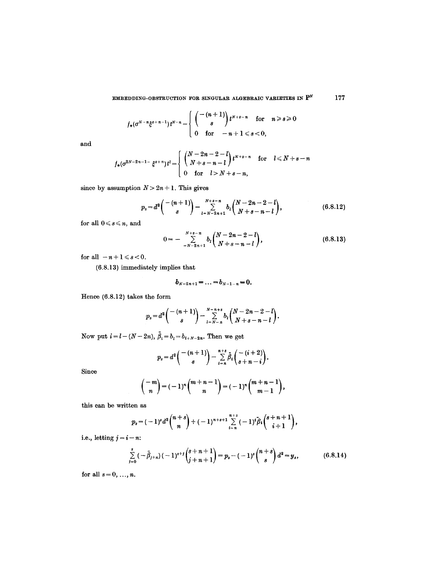# EMBEDDING-OBSTRUCTION FOR SINGULAR ALGEBRAIC VARIETIES IN  $\mathbf{P}^N$

$$
f_*(\sigma^{N-n}\xi^{s+n-1})t^{N-n}=\begin{cases}\begin{pmatrix}-(n+1)\\s\end{pmatrix}t^{N+s-n} & \text{for } n\geq s\geq 0\\0 & \text{for }-n+1\leq s<0,\end{cases}
$$

and

$$
f_*(\sigma^{2N-2n-1-\xi^{s+n}})t^l=\begin{cases} {N-2n-2-l \choose N+s-n-l}t^{N+s-n} & \text{for} \quad l\leq N+s-n\\ 0 & \text{for} \quad l>N+s-n,\end{cases}
$$

since by assumption  $N > 2n + 1$ . This gives

$$
p_s = d^2 \binom{-(n+1)}{s} - \sum_{l=N-2n+1}^{N+s-n} b_l \binom{N-2n-2-l}{N+s-n-l}, \qquad (6.8.12)
$$

for all  $0\!\leqslant\!s\!\leqslant\!n,$  and

$$
0 = -\sum_{-N-2n+1}^{N+s-n} b_{l} {N-2n-2-l \choose N+s-n-l}, \qquad (6.8.13)
$$

for all  $-n+1 \leqslant s < 0$ .

(6.8.13) immediately implies that

$$
b_{N-2n+1} = \ldots = b_{N-1-n} = 0.
$$

Hence (6.8.12) takes the form

$$
p_s = d^2 \binom{-(n+1)}{s} - \sum_{l=N-n}^{N-n+s} b_l \binom{N-2n-2-l}{N+s-n-l}.
$$

Now put  $i = l - (N - 2n)$ ,  $\tilde{\beta}_i = b_i - b_{i+N-2n}$ . Then we get

$$
p_s = d^2 \binom{-(n+1)}{s} - \sum_{i=n}^{n+s} \tilde{\beta}_i \binom{-(i+2)}{s+n-i}.
$$

Since

$$
\binom{-m}{n} = (-1)^n \binom{m+n-1}{n} = (-1)^n \binom{m+n-1}{m-1},
$$

this can be written as

$$
p_s = (-1)^s d^2 \binom{n+s}{n} + (-1)^{n+s+1} \sum_{i=n}^{n+s} (-1)^i \tilde{\beta}_i \binom{s+n+1}{i+1},
$$

i.e., letting  $j = i - n$ :

$$
\sum_{j=0}^{s} \left(-\tilde{\beta}_{j+n}\right)(-1)^{s+j}\binom{s+n+1}{j+n+1} = p_s - (-1)^s \binom{n+s}{s} d^2 = y_s,
$$
\n(6.8.14)

for all  $s = 0, ..., n$ .

177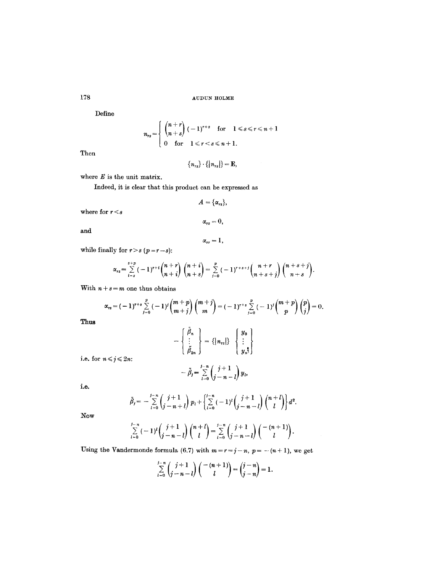Define

$$
n_{rs} = \begin{cases} \begin{pmatrix} n+r \\ n+s \end{pmatrix} (-1)^{r+s} & \text{for} \quad 1 \leq s \leq r \leq n+1 \\ 0 & \text{for} \quad 1 \leq r < s \leq n+1. \end{cases}
$$

Then

 $\left\{ n_{rs}\right\} \cdot \left\{ \left\vert n_{rs}\right\vert \right\} =\mathbf{E},$ 

where  $E$  is the unit matrix.

Indeed, it is clear that this product can be expressed as

$$
A=\{\alpha_{rs}\},
$$

where for  $r\,{<}\,s$ 

and

$$
\alpha_{rr}=1,
$$

 $\alpha_{rs} = 0,$ 

while finally for  $r>s$  ( $p=r-s$ ):

$$
\alpha_{rs} = \sum_{i=s}^{s+p} (-1)^{r+i} \binom{n+r}{n+i} \binom{n+i}{n+s} = \sum_{j=0}^{p} (-1)^{r+s+j} \binom{n+r}{n+s+j} \binom{n+s+j}{n+s}.
$$

With  $n + s = m$  one thus obtains

$$
\alpha_{rs} = (-1)^{r+s} \sum_{j=0}^p (-1)^j {m+p \choose m+j} {m+j \choose m} = (-1)^{r+s} \sum_{j=0}^p (-1)^j {m+p \choose p}{p \choose j} = 0.
$$

**Thus** 

$$
-\left\{\begin{array}{c}\tilde{\beta}_{n} \\ \vdots \\ \tilde{\beta}_{2n}\end{array}\right\} = \left\{\left|n_{rs}\right|\right\} \left\{\begin{array}{c}\mathbf{y}_{0} \\ \vdots \\ \mathbf{y}_{n}^{\mathbf{t}}\end{array}\right\}
$$

$$
-\tilde{\beta}_{j} = \sum_{r=0}^{j-n} \left(\begin{array}{c}\mathbf{j} + 1 \\ \mathbf{i} - n - 1\end{array}\right) \mathbf{y}_{l},
$$

i.e. for  $n \leq j \leq 2n$ :

$$
- \tilde{\beta}_j = \sum_{l=0}^{j-n} \binom{j+1}{j-n-l}!
$$

i.o.

$$
\tilde{\beta}_j = -\sum_{l=0}^{j-n} \binom{j+1}{j-n+l} p_l + \left\{ \sum_{l=0}^{j-n} (-1)^l \binom{j+1}{j-n-l} \binom{n+l}{l} \right\} d^2.
$$

Now

$$
\sum_{l=0}^{j-n}(-1)^l\binom{j+1}{j-n-l}\binom{n+l}{l}=\sum_{l=0}^{j-n}\binom{j+1}{j-n-l}\binom{-(n+1)}{l}.
$$

Using the Vandermonde formula (6.7) with  $m = r = j - n$ ,  $p = -(n + 1)$ , we get

$$
\sum_{l=0}^{j-n} {j+1 \choose j-n-l} {-n+1 \choose l} = {j-n \choose j-n} = 1.
$$

178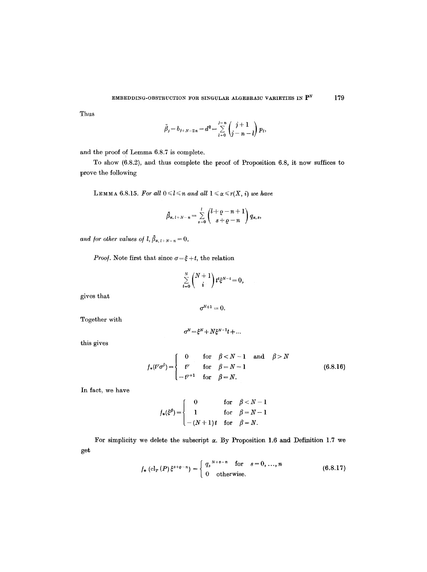Thus

$$
\tilde{\beta}_j = b_{j+N-2n} = d^2 - \sum_{l=0}^{j-n} \binom{j+1}{j-n-l} p_l,
$$

and the proof of Lemma 6.8.7 is complete.

To show (6.8.2), and thus complete the proof of Proposition 6.8, it now suffices to prove the following

LEMMA 6.8.15. For all  $0 \leq l \leq n$  and all  $1 \leq \alpha \leq r(X, i)$  we have

$$
\bar{\beta}_{\alpha, l+N-n} = \sum_{s=0}^l \binom{l+\varrho-n+1}{s+\varrho-n} q_{\alpha,s},
$$

*and for other values of l,*  $\bar{\beta}_{\alpha, l+N-n} = 0$ .

*Proof.* Note first that since  $\sigma = \xi + t$ , the relation

$$
\sum_{i=0}^N \binom{N+1}{i} t^i \xi^{N-i} = 0,
$$

gives that

$$
\sigma^{N+1}=0.
$$

Together with

$$
\sigma^N = \xi^N + N\xi^{N-1}t + \dots
$$

this gives

$$
f_*(t^{\gamma}\sigma^{\beta}) = \begin{cases} 0 & \text{for } \beta < N - 1 \text{ and } \beta > N \\ t^{\gamma} & \text{for } \beta = N - 1 \\ -t^{\gamma+1} & \text{for } \beta = N. \end{cases}
$$
 (6.8.16)

In fact, we have

$$
f_*(\xi^{\beta}) = \begin{cases} 0 & \text{for } \beta < N - 1 \\ 1 & \text{for } \beta = N - 1 \\ -(N + 1)t & \text{for } \beta = N. \end{cases}
$$

get For simplicity we delete the subscript  $\alpha$ . By Proposition 1.6 and Definition 1.7 we

$$
f_* (\mathrm{cl}_T(P) \xi^{s+e-n}) = \begin{cases} q_s^{N+s-n} & \text{for } s = 0, ..., n \\ 0 & \text{otherwise.} \end{cases}
$$
 (6.8.17)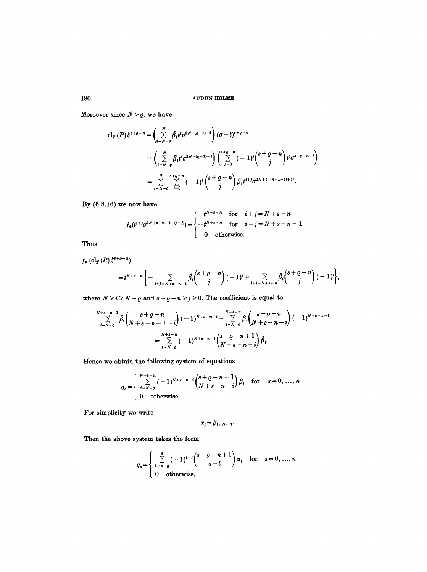Moreover since  $N > \varrho$ , we have

$$
\begin{split} \mathbf{cl}_{\mathbf{T}}\left(P\right)\xi^{s+q-n} &= \left(\sum_{i=N-q}^{N} \tilde{\beta}_{i} t^{i} \sigma^{2N-(q+1)-i}\right) (\sigma-t)^{s+q-n} \\ &= \left(\sum_{i=N-q}^{N} \tilde{\beta}_{i} t^{i} \sigma^{2N-(q+1)-i}\right) \left(\sum_{j=0}^{s+q-n} (-1)^{j} \binom{s+q-n}{j} t^{j} \sigma^{s+q-n-j}\right) \\ &= \sum_{i=N-q}^{N} \sum_{j=0}^{s+q-n} (-1)^{j} \binom{s+q-n}{j} \tilde{\beta}_{i} t^{i+j} \sigma^{2N+s-n-1-(i+j)}. \end{split}
$$

By  $(6.8.16)$  we now have

$$
f_{*}(t^{i+j}\sigma^{2N+s-n-1-(i+j)}) = \begin{cases} t^{N+s-n} & \text{for} \quad i+j=N+s-n \\ -t^{N+s-n} & \text{for} \quad i+j=N+s-n-1 \\ 0 & \text{otherwise.} \end{cases}
$$

Thus

$$
f_{*} (\mathrm{cl}_{T}(P) \xi^{s+\varrho-n}) = t^{N+s-n} \bigg\{ - \sum_{i+j=N+s-n-1} \tilde{\beta}_{i} {s+\varrho-n \choose j} (-1)^{j} + \sum_{i+j=N+s-n} \tilde{\beta}_{i} {s+\varrho-n \choose j} (-1)^{j} \bigg\},
$$

where  $N \ge i \ge N-\varrho$  and  $s+\varrho - n \ge j \ge 0$ . The coefficient is equal to

$$
\sum_{i=N-e}^{N+s-n-1} \tilde{\beta}_{i} {s+\varrho-n \choose N+s-n-1-i} (-1)^{N+s-n-i} + \sum_{i=N-e}^{N+s-n} \tilde{\beta}_{i} {s+\varrho-n \choose N+s-n-i} (-1)^{N+s-n-i}
$$
  
= 
$$
\sum_{i=N-e}^{N+s-n} (-1)^{N+s-n-i} {s+\varrho-n+1 \choose N+s-n-i} \tilde{\beta}_{i}.
$$

Hence we obtain the following system of equations

$$
q_s = \begin{cases} \sum_{i=N-q}^{N+s-n} (-1)^{N+s-n-i} {s+2-n+1 \choose N+s-n-i} \bar{\beta}_i & \text{for } s=0, ..., n \\ 0 & \text{otherwise.} \end{cases}
$$

For simplicity we write

$$
\alpha_l = \bar{\beta}_{l+N-n}.
$$

Then the above system takes the form

$$
q_s = \begin{cases} \sum_{l=n-e}^{s} (-1)^{s-l} {s+e-n+1 \choose s-l} \alpha_l & \text{for} \quad s=0,\ldots,n \\ 0 & \text{otherwise,} \end{cases}
$$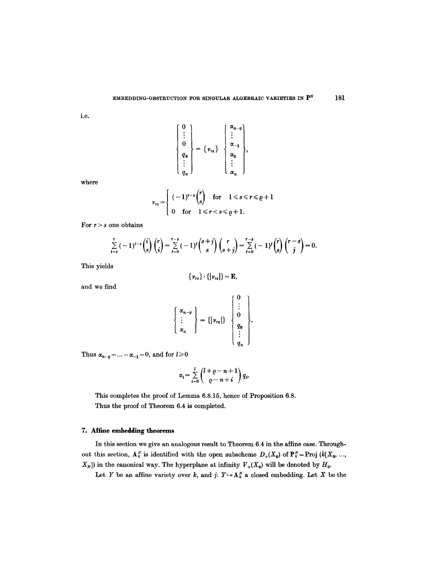i.e.

$$
\begin{Bmatrix} 0 \\ \vdots \\ 0 \\ q_0 \\ \vdots \\ q_n \end{Bmatrix} = \{v_{rs}\} \begin{Bmatrix} \alpha_{n-\varrho} \\ \vdots \\ \alpha_{-1} \\ \alpha_0 \\ \vdots \\ \alpha_n \end{Bmatrix},
$$

where

$$
\nu_{rs} = \begin{cases}\n(-1)^{r-s} \binom{r}{s} & \text{for } 1 \leq s \leq r \leq \varrho + 1 \\
0 & \text{for } 1 \leq r < s \leq \varrho + 1.\n\end{cases}
$$

For  $r > s$  one obtains

$$
\sum_{i=s}^{r}(-1)^{i-s}\binom{i}{s}\binom{r}{i}=\sum_{j=0}^{r-s}(-1)^{j}\binom{s+j}{s}\binom{r}{s+j}=\sum_{j=0}^{r-s}(-1)^{j}\binom{r}{s}\binom{r-s}{j}=0.
$$

This yields

$$
\{v_{rs}\}\cdot\{|v_{rs}|\}=\mathbf{E},
$$

and we find

$$
\left\{\n\begin{array}{c}\n\alpha_{n-\varrho} \\
\vdots \\
\alpha_n\n\end{array}\n\right\} = \left\{\n\begin{array}{c}\n\varrho \\
\downarrow\n\end{array}\n\right\}\n\left\{\n\begin{array}{c}\n0 \\
\vdots \\
0 \\
q_0 \\
\vdots \\
q_n\n\end{array}\n\right\}.
$$

Thus  $\alpha_{n-q} = \ldots = \alpha_{-1} = 0$ , and for  $l \geq 0$ 

$$
\alpha_l = \sum_{i=0}^l \binom{l+\varrho-n+1}{\varrho-n+i} q_i.
$$

This completes the proof of Lemma 6.8.15, hence of Proposition 6.8. Thus the proof of Theorem 6.4 is completed,

# **7.** Aitlne embedding **theorems**

In this section we give an analogous result to Theorem 6.4 in the affine case. Throughout this section,  $\mathbf{A}_{k}^{N}$  is identified with the open subscheme  $D_{+}(X_{0})$  of  $\mathbf{P}_{k}^{N}=\text{Proj }(k[X_{0},...,Y_{0}]$  $X_N$ ]) in the canonical way. The hyperplane at infinity  $V_+(X_0)$  will be denoted by  $H_0$ .

Let Y be an affine variety over k, and  $j: Y \hookrightarrow A_{k}^{N}$  a closed embedding. Let X be the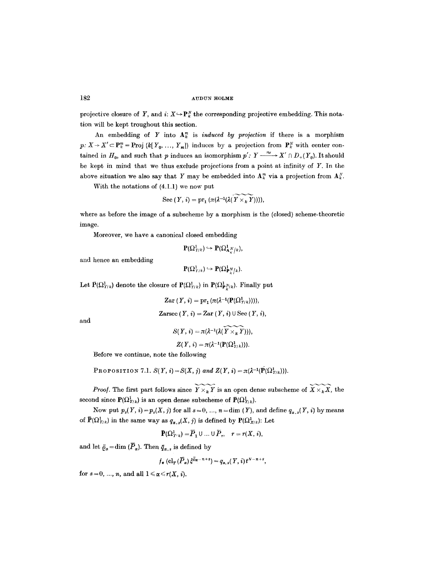projective closure of Y, and i:  $X \rightarrow P_k^N$  the corresponding projective embedding. This notation will be kept troughout this section.

An embedding of Y into  $A_k^m$  is *induced by projection* if there is a morphism  $p: X \to X' \subset \mathbb{P}_{k}^{m} = \text{Proj } (k[Y_0, ..., Y_m])$  induces by a projection from  $\mathbb{P}_{k}^{N}$  with center contained in  $H_0$ , and such that p induces an isomorphism  $p'$ :  $Y \xrightarrow{\sim} X' \cap D_+(Y_0)$ . It should be kept in mind that we thus exclude projections from a point at infinity of Y. In the above situation we also say that Y may be embedded into  $\Lambda_k^m$  via a projection from  $\Lambda_k^N$ .

With the notations of (4.1.1) we now put

$$
\mathrm{Sec}\,(Y,\,i)=\mathrm{pr}_1\,(\pi(\lambda^{-1}(\lambda(Y\times_k Y))))\,,
$$

where as before the image of a subscheme by a morphism is the (closed) scheme-theoretic image.

Moreover, we have a canonical closed embedding

 ${\bf P}(\Omega^1_{Y/k}) \hookrightarrow {\bf P}(\Omega^1_{\mathbf{A}^N_{\alpha}/k}),$ 

and hence an embedding

$$
\mathbf{P}(\Omega^1_{Y/k}) \hookrightarrow \mathbf{P}(\Omega^1_{\mathbf{P}^N/k}).
$$

Let  $\bar{P}(\Omega^1_{Y/k})$  denote the closure of  $P(\Omega^1_{Y/k})$  in  $P(\Omega^1_{P,N/k})$ . Finally put

$$
Zar (Y, i) = pr_1(\pi(\lambda^{-1}(P(\Omega^1_{Y/k}))))
$$
  
Zarsec  $(Y, i) = Zar (Y, i) \cup Sec (Y, i)$ ,

and

$$
S(Y, i) = \pi(\lambda^{-1}(\lambda(Y \times_k Y))),
$$
  

$$
Z(Y, i) = \pi(\lambda^{-1}(\mathbf{P}(\Omega_{Y/k}^1))).
$$

$$
Z(I, v) = \mathcal{U}(\Lambda^{-1}[\mathbf{I}(\mathbf{S}\mathbf{Z}_{Y})])
$$

Before we continue, note the following

PROPOSITION 7.1.  $S(Y, i) = S(X, j)$  and  $Z(Y, i) = \pi(\lambda^{-1}(\overline{P}(\Omega^1_{Y/k}))).$ 

*Proof.* The first part follows since  $\widetilde{Y \times_k Y}$  is an open dense subscheme of  $\widetilde{X \times_k X}$ , the second since  $P(\Omega^1_{Y/k})$  is an open dense subscheme of  $\overline{P}(\Omega^1_{Y/k})$ .

Now put  $p_s(Y, i) = p_s(X, j)$  for all  $s = 0, ..., n = \dim(Y)$ , and define  $q_{\alpha,s}(Y, i)$  by means of  $\bar{P}(\Omega^1_{Y/k})$  in the same way as  $q_{\alpha,s}(X, j)$  is defined by  $P(\Omega^1_{X/k})$ : Let

$$
\mathbf{P}(\Omega^1_{Y/k}) = \overline{P}_1 \cup \ldots \cup \overline{P}_r, \quad r = r(X, i),
$$

and let  $\bar{\varrho}_{\alpha} = \dim (\bar{P}_{\alpha})$ . Then  $\bar{q}_{\alpha,s}$  is defined by

$$
f_{*}(\mathrm{cl}_{T}(\overline{P}_{\alpha})\xi^{\overline{\varrho}_{\alpha}-n+s})=q_{\alpha,s}(Y,i)t^{N-n+s},
$$

for  $s=0, ..., n$ , and all  $1 \leq \alpha \leq r(X, i)$ .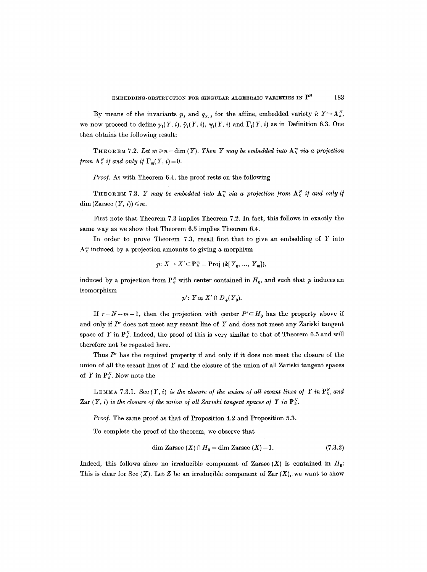By means of the invariants  $p_s$  and  $q_{\alpha,s}$  for the affine, embedded variety i:  $Y \hookrightarrow \mathbf{A}_{\kappa}^N$ , we now proceed to define  $\gamma_i(Y, i)$ ,  $\bar{\gamma}_i(Y, i)$ ,  $\gamma_i(Y, i)$  and  $\Gamma_i(Y, i)$  as in Definition 6.3. One then obtains the following result:

THEOREM 7.2. Let  $m \geq n = \dim(Y)$ . Then Y may be embedded into  $\Lambda_k^m$  via a projection *from*  $\mathbf{A}_{k}^{N}$  *if and only if*  $\Gamma_{m}(Y, i) = 0$ .

*Proof.* As with Theorem 6.4, the proof rests on the following

THEOREM 7.3. *Y may be embedded into*  $A^m_k$  *via a projection from*  $A^N_k$  *if and only if* dim (Zarsec  $(Y, i)$ )  $\leq m$ .

First note that Theorem 7.3 implies Theorem 7.2. In fact, this follows in exactly the same way as we show that Theorem 6.5 implies Theorem 6.4.

In order to prove Theorem 7.3, recall first that to give an embedding of  $Y$  into  $A_{k}^{m}$  induced by a projection amounts to giving a morphism

$$
p: X \to X' \subset \mathbf{P}_k^m = \text{Proj } (k[Y_0, ..., Y_m]),
$$

induced by a projection from  $\mathbf{P}_k^N$  with center contained in  $H_0$ , and such that p induces an isomorphism

$$
p': Y \cong X' \cap D_+(Y_0).
$$

If  $r = N-m-1$ , then the projection with center  $P^r \subset H_0$  has the property above if and only if  $P<sup>r</sup>$  does not meet any secant line of Y and does not meet any Zariski tangent space of Y in  $\mathbf{P}_{k}^{N}$ . Indeed, the proof of this is very similar to that of Theorem 6.5 and will therefore not be repeated here.

Thus  $P<sup>r</sup>$  has the required property if and only if it does not meet the closure of the union of all the secant lines of Y and the closure of the union of all Zariski tangent spaces of Y in  $P_k^N$ . Now note the

LEMMA 7.3.1. Sec  $(Y, i)$  is the closure of the union of all secant lines of Y in  $\mathbb{P}_k^N$ , and Zar  $(Y, i)$  is the closure of the union of all Zariski tangent spaces of Y in  $\mathbf{P}_k^N$ .

*Proof.* The same proof as that of Proposition 4.2 and Proposition 5.3.

To complete the proof of the theorem, we observe that

$$
\dim Z \text{arsec } (X) \cap H_0 = \dim Z \text{arsec } (X) - 1. \tag{7.3.2}
$$

Indeed, this follows since no irreducible component of Zarsec  $(X)$  is contained in  $H_0$ : This is clear for Sec  $(X)$ . Let Z be an irreducible component of Zar  $(X)$ , we want to show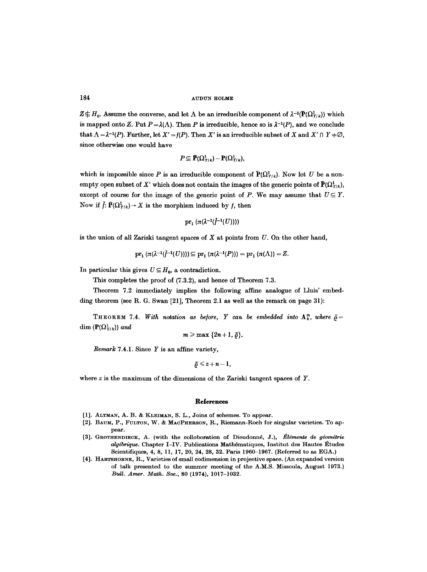$Z\oplus H_0$ . Assume the converse, and let  $\Lambda$  be an irreducible component of  $\lambda^{-1}(\mathbf{P}(\Omega_{Y/k}^1))$  which is mapped onto Z. Put  $P = \lambda(\Lambda)$ . Then P is irreducible, hence so is  $\lambda^{-1}(P)$ , and we conclude that  $\Lambda = \lambda^{-1}(P)$ . Further, let  $X' = f(P)$ . Then X' is an irreducible subset of X and X'  $\cap$  Y  $\neq \emptyset$ , since otherwise one would have

$$
P \subseteq \overline{\mathbf{P}}(\Omega^1_{Y/k}) - \mathbf{P}(\Omega^1_{Y/k}),
$$

which is impossible since P is an irreducible component of  $\mathbb{P}(\Omega^1_{Y/k})$ . Now let U be a nonempty open subset of X' which does not contain the images of the generic points of  $\mathbf{P}(\Omega^1_{Y/k})$ , except of course for the image of the generic point of P. We may assume that  $U \subseteq Y$ . Now if  $\hat{f}: \overline{\mathbf{P}}(\Omega^1_{Y/k}) \to X$  is the morphism induced by  $f$ , then

$$
\mathrm{pr}_1 \left( \pi(\lambda^{-1}(\tilde{f}^{-1}(U))) \right)
$$

is the union of all Zariski tangent spaces of  $X$  at points from  $U$ . On the other hand,

$$
\mathrm{pr}_1(\pi(\lambda^{-1}(\tilde{f}^{-1}(U)))) \subseteq \mathrm{pr}_1(\pi(\lambda^{-1}(P))) = \mathrm{pr}_1(\pi(\Lambda)) = Z.
$$

In particular this gives  $U \subseteq H_0$ , a contradiction.

This completes the proof of (7.3.2), and hence of Theorem 7.3.

Theorem 7.2 immediately implies the following affine analogue of Lluis' embedding theorem (see R. G. Swan [21], Theorem 2.1 as well as the remark on page 31):

THEOREM 7.4. *With notation as before, Y can be embedded into*  $A_k^m$ , *where*  $\bar{\rho} =$ dim  $(\mathbf{P}(\Omega^1_{Y/k}))$  and

 $m \geqslant \max\{2n+1, \bar{\rho}\}.$ 

*Remark* 7.4.1. Since Y is an affine variety,

$$
\bar{\varrho}\leqslant z+n-1,
$$

where  $z$  is the maximum of the dimensions of the Zariski tangent spaces of  $Y$ .

#### **Relerences**

- [1]. ALTMAN, A. B. & KLEIMAN, S. L., Joins of schemes. To appear.
- [2]. BAUM, P., FULTON, W. & MACPHERSON, R., Riemann-Roch for singular varieties. To appear.
- [3]. GROTHENDIECK, A. (with the colloboration of Dieudonné, J.), *Éléments de géométrie* algébrique. Chapter I-IV. Publications Mathématiques, Institut des Hautes Études Scientifiques, **4, 8, 11,** 17, 20, 24, **28, 32.** Paris 1960-1967. (Referred to as EGA.)
- [4]. HARTSHORNE, R., Varieties of small codimension in projective space. (An expanded version of talk presented to the summer meeting of the A.M.S. Missoula, August 1973.) *Bull. Amer. Math. Soc.,* 80 (1974), 1017-1032.